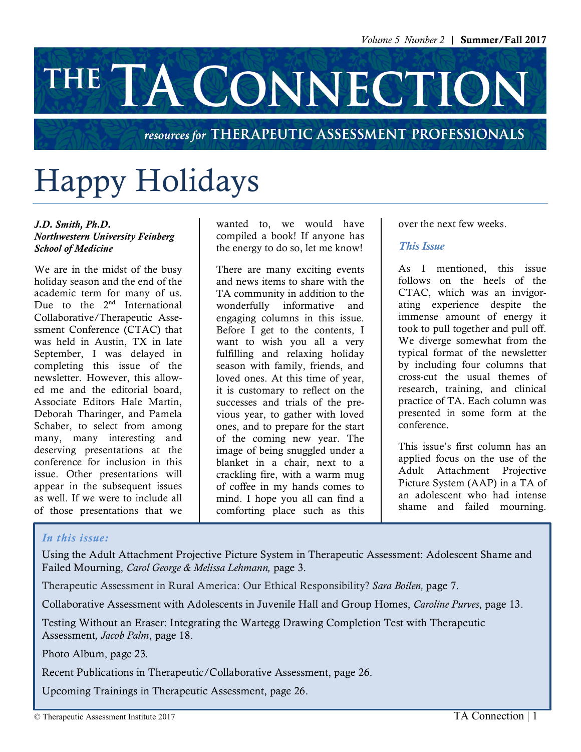# THE TA CONNECTION

### resources for THERAPEUTIC ASSESSMENT PROFESSIONALS

# Happy Holidays

#### *J.D. Smith, Ph.D. Northwestern University Feinberg School of Medicine*

We are in the midst of the busy holiday season and the end of the academic term for many of us. Due to the  $2<sup>nd</sup>$  International Collaborative/Therapeutic Assessment Conference (CTAC) that was held in Austin, TX in late September, I was delayed in completing this issue of the newsletter. However, this allowed me and the editorial board, Associate Editors Hale Martin, Deborah Tharinger, and Pamela Schaber, to select from among many, many interesting and deserving presentations at the conference for inclusion in this issue. Other presentations will appear in the subsequent issues as well. If we were to include all of those presentations that we

wanted to, we would have compiled a book! If anyone has the energy to do so, let me know!

There are many exciting events and news items to share with the TA community in addition to the wonderfully informative and engaging columns in this issue. Before I get to the contents, I want to wish you all a very fulfilling and relaxing holiday season with family, friends, and loved ones. At this time of year, it is customary to reflect on the successes and trials of the previous year, to gather with loved ones, and to prepare for the start of the coming new year. The image of being snuggled under a blanket in a chair, next to a crackling fire, with a warm mug of coffee in my hands comes to mind. I hope you all can find a comforting place such as this

over the next few weeks.

### *This Issue*

As I mentioned, this issue follows on the heels of the CTAC, which was an invigorating experience despite the immense amount of energy it took to pull together and pull off. We diverge somewhat from the typical format of the newsletter by including four columns that cross-cut the usual themes of research, training, and clinical practice of TA. Each column was presented in some form at the conference.

This issue's first column has an applied focus on the use of the Adult Attachment Projective Picture System (AAP) in a TA of an adolescent who had intense shame and failed mourning.

### *In this issue:*

Using the Adult Attachment Projective Picture System in Therapeutic Assessment: Adolescent Shame and Failed Mourning, *Carol George & Melissa Lehmann,* page 3.

Therapeutic Assessment in Rural America: Our Ethical Responsibility? *Sara Boilen,* page 7.

Collaborative Assessment with Adolescents in Juvenile Hall and Group Homes, *Caroline Purves*, page 13.

Testing Without an Eraser: Integrating the Wartegg Drawing Completion Test with Therapeutic Assessment*, Jacob Palm*, page 18.

Photo Album, page 23*.*

Recent Publications in Therapeutic/Collaborative Assessment, page 26.

Upcoming Trainings in Therapeutic Assessment, page 26.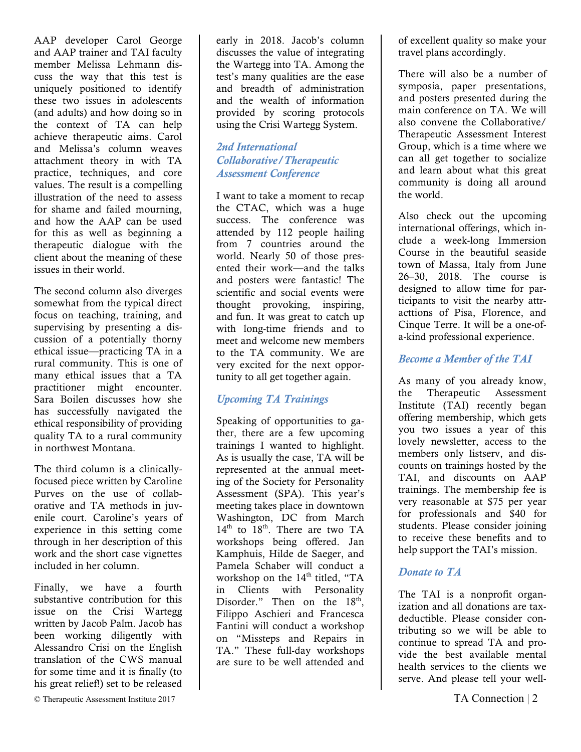AAP developer Carol George and AAP trainer and TAI faculty member Melissa Lehmann discuss the way that this test is uniquely positioned to identify these two issues in adolescents (and adults) and how doing so in the context of TA can help achieve therapeutic aims. Carol and Melissa's column weaves attachment theory in with TA practice, techniques, and core values. The result is a compelling illustration of the need to assess for shame and failed mourning, and how the AAP can be used for this as well as beginning a therapeutic dialogue with the client about the meaning of these issues in their world.

The second column also diverges somewhat from the typical direct focus on teaching, training, and supervising by presenting a discussion of a potentially thorny ethical issue—practicing TA in a rural community. This is one of many ethical issues that a TA practitioner might encounter. Sara Boilen discusses how she has successfully navigated the ethical responsibility of providing quality TA to a rural community in northwest Montana.

The third column is a clinicallyfocused piece written by Caroline Purves on the use of collaborative and TA methods in juvenile court. Caroline's years of experience in this setting come through in her description of this work and the short case vignettes included in her column.

Finally, we have a fourth substantive contribution for this issue on the Crisi Wartegg written by Jacob Palm. Jacob has been working diligently with Alessandro Crisi on the English translation of the CWS manual for some time and it is finally (to his great relief!) set to be released early in 2018. Jacob's column discusses the value of integrating the Wartegg into TA. Among the test's many qualities are the ease and breadth of administration and the wealth of information provided by scoring protocols using the Crisi Wartegg System.

### *2nd International Collaborative/Therapeutic Assessment Conference*

I want to take a moment to recap the CTAC, which was a huge success. The conference was attended by 112 people hailing from 7 countries around the world. Nearly 50 of those presented their work—and the talks and posters were fantastic! The scientific and social events were thought provoking, inspiring, and fun. It was great to catch up with long-time friends and to meet and welcome new members to the TA community. We are very excited for the next opportunity to all get together again.

### *Upcoming TA Trainings*

Speaking of opportunities to gather, there are a few upcoming trainings I wanted to highlight. As is usually the case, TA will be represented at the annual meeting of the Society for Personality Assessment (SPA). This year's meeting takes place in downtown Washington, DC from March  $14<sup>th</sup>$  to  $18<sup>th</sup>$ . There are two TA workshops being offered. Jan Kamphuis, Hilde de Saeger, and Pamela Schaber will conduct a workshop on the  $14<sup>th</sup>$  titled, "TA in Clients with Personality Disorder." Then on the  $18<sup>th</sup>$ , Filippo Aschieri and Francesca Fantini will conduct a workshop on "Missteps and Repairs in TA." These full-day workshops are sure to be well attended and

of excellent quality so make your travel plans accordingly.

There will also be a number of symposia, paper presentations, and posters presented during the main conference on TA. We will also convene the Collaborative/ Therapeutic Assessment Interest Group, which is a time where we can all get together to socialize and learn about what this great community is doing all around the world.

Also check out the upcoming international offerings, which include a week-long Immersion Course in the beautiful seaside town of Massa, Italy from June 26–30, 2018. The course is designed to allow time for participants to visit the nearby attracttions of Pisa, Florence, and Cinque Terre. It will be a one-ofa-kind professional experience.

### *Become a Member of the TAI*

As many of you already know, the Therapeutic Assessment Institute (TAI) recently began offering membership, which gets you two issues a year of this lovely newsletter, access to the members only listserv, and discounts on trainings hosted by the TAI, and discounts on AAP trainings. The membership fee is very reasonable at \$75 per year for professionals and \$40 for students. Please consider joining to receive these benefits and to help support the TAI's mission.

### *Donate to TA*

The TAI is a nonprofit organization and all donations are taxdeductible. Please consider contributing so we will be able to continue to spread TA and provide the best available mental health services to the clients we serve. And please tell your well-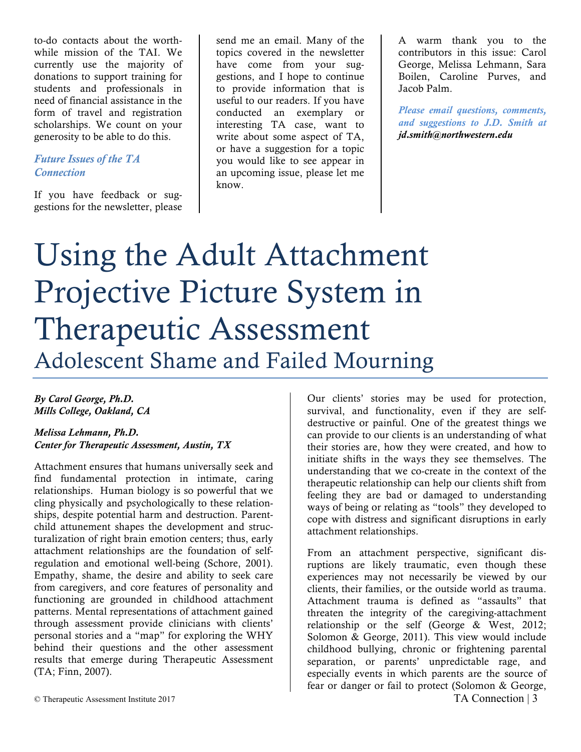to-do contacts about the worthwhile mission of the TAI. We currently use the majority of donations to support training for students and professionals in need of financial assistance in the form of travel and registration scholarships. We count on your generosity to be able to do this.

### *Future Issues of the TA Connection*

If you have feedback or suggestions for the newsletter, please

send me an email. Many of the topics covered in the newsletter have come from your suggestions, and I hope to continue to provide information that is useful to our readers. If you have conducted an exemplary or interesting TA case, want to write about some aspect of TA, or have a suggestion for a topic you would like to see appear in an upcoming issue, please let me know.

A warm thank you to the contributors in this issue: Carol George, Melissa Lehmann, Sara Boilen, Caroline Purves, and Jacob Palm.

*Please email questions, comments, and suggestions to J.D. Smith at jd.smith@northwestern.edu*

# Using the Adult Attachment Projective Picture System in Therapeutic Assessment Adolescent Shame and Failed Mourning

### *By Carol George, Ph.D. Mills College, Oakland, CA*

*Melissa Lehmann, Ph.D. Center for Therapeutic Assessment, Austin, TX*

Attachment ensures that humans universally seek and find fundamental protection in intimate, caring relationships. Human biology is so powerful that we cling physically and psychologically to these relationships, despite potential harm and destruction. Parentchild attunement shapes the development and structuralization of right brain emotion centers; thus, early attachment relationships are the foundation of selfregulation and emotional well-being (Schore, 2001). Empathy, shame, the desire and ability to seek care from caregivers, and core features of personality and functioning are grounded in childhood attachment patterns. Mental representations of attachment gained through assessment provide clinicians with clients' personal stories and a "map" for exploring the WHY behind their questions and the other assessment results that emerge during Therapeutic Assessment (TA; Finn, 2007).

Our clients' stories may be used for protection, survival, and functionality, even if they are selfdestructive or painful. One of the greatest things we can provide to our clients is an understanding of what their stories are, how they were created, and how to initiate shifts in the ways they see themselves. The understanding that we co-create in the context of the therapeutic relationship can help our clients shift from feeling they are bad or damaged to understanding ways of being or relating as "tools" they developed to cope with distress and significant disruptions in early attachment relationships.

From an attachment perspective, significant disruptions are likely traumatic, even though these experiences may not necessarily be viewed by our clients, their families, or the outside world as trauma. Attachment trauma is defined as "assaults" that threaten the integrity of the caregiving-attachment relationship or the self (George & West, 2012; Solomon & George, 2011). This view would include childhood bullying, chronic or frightening parental separation, or parents' unpredictable rage, and especially events in which parents are the source of fear or danger or fail to protect (Solomon & George,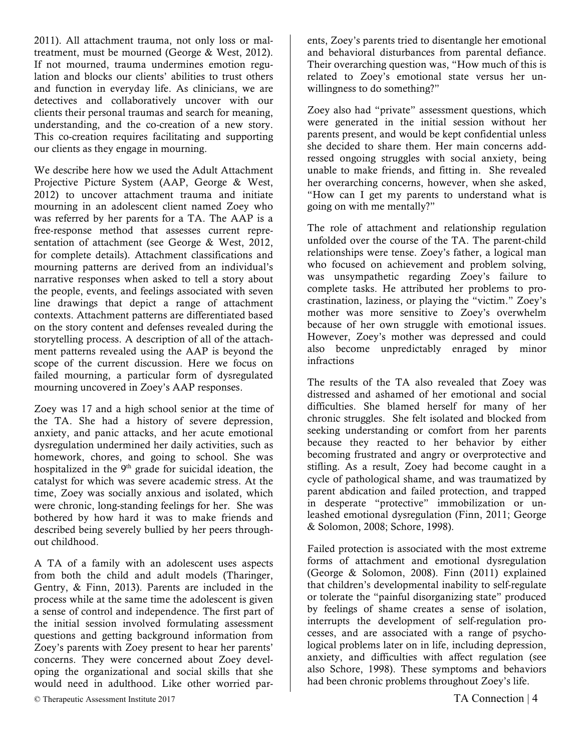2011). All attachment trauma, not only loss or maltreatment, must be mourned (George & West, 2012). If not mourned, trauma undermines emotion regulation and blocks our clients' abilities to trust others and function in everyday life. As clinicians, we are detectives and collaboratively uncover with our clients their personal traumas and search for meaning, understanding, and the co-creation of a new story. This co-creation requires facilitating and supporting our clients as they engage in mourning.

We describe here how we used the Adult Attachment Projective Picture System (AAP, George & West, 2012) to uncover attachment trauma and initiate mourning in an adolescent client named Zoey who was referred by her parents for a TA. The AAP is a free-response method that assesses current representation of attachment (see George & West, 2012, for complete details). Attachment classifications and mourning patterns are derived from an individual's narrative responses when asked to tell a story about the people, events, and feelings associated with seven line drawings that depict a range of attachment contexts. Attachment patterns are differentiated based on the story content and defenses revealed during the storytelling process. A description of all of the attachment patterns revealed using the AAP is beyond the scope of the current discussion. Here we focus on failed mourning, a particular form of dysregulated mourning uncovered in Zoey's AAP responses.

Zoey was 17 and a high school senior at the time of the TA. She had a history of severe depression, anxiety, and panic attacks, and her acute emotional dysregulation undermined her daily activities, such as homework, chores, and going to school. She was hospitalized in the 9<sup>th</sup> grade for suicidal ideation, the catalyst for which was severe academic stress. At the time, Zoey was socially anxious and isolated, which were chronic, long-standing feelings for her. She was bothered by how hard it was to make friends and described being severely bullied by her peers throughout childhood.

A TA of a family with an adolescent uses aspects from both the child and adult models (Tharinger, Gentry, & Finn, 2013). Parents are included in the process while at the same time the adolescent is given a sense of control and independence. The first part of the initial session involved formulating assessment questions and getting background information from Zoey's parents with Zoey present to hear her parents' concerns. They were concerned about Zoey developing the organizational and social skills that she would need in adulthood. Like other worried parents, Zoey's parents tried to disentangle her emotional and behavioral disturbances from parental defiance. Their overarching question was, "How much of this is related to Zoey's emotional state versus her unwillingness to do something?"

Zoey also had "private" assessment questions, which were generated in the initial session without her parents present, and would be kept confidential unless she decided to share them. Her main concerns addressed ongoing struggles with social anxiety, being unable to make friends, and fitting in. She revealed her overarching concerns, however, when she asked, "How can I get my parents to understand what is going on with me mentally?"

The role of attachment and relationship regulation unfolded over the course of the TA. The parent-child relationships were tense. Zoey's father, a logical man who focused on achievement and problem solving, was unsympathetic regarding Zoey's failure to complete tasks. He attributed her problems to procrastination, laziness, or playing the "victim." Zoey's mother was more sensitive to Zoey's overwhelm because of her own struggle with emotional issues. However, Zoey's mother was depressed and could also become unpredictably enraged by minor infractions

The results of the TA also revealed that Zoey was distressed and ashamed of her emotional and social difficulties. She blamed herself for many of her chronic struggles. She felt isolated and blocked from seeking understanding or comfort from her parents because they reacted to her behavior by either becoming frustrated and angry or overprotective and stifling. As a result, Zoey had become caught in a cycle of pathological shame, and was traumatized by parent abdication and failed protection, and trapped in desperate "protective" immobilization or unleashed emotional dysregulation (Finn, 2011; George & Solomon, 2008; Schore, 1998).

Failed protection is associated with the most extreme forms of attachment and emotional dysregulation (George & Solomon, 2008). Finn (2011) explained that children's developmental inability to self-regulate or tolerate the "painful disorganizing state" produced by feelings of shame creates a sense of isolation, interrupts the development of self-regulation processes, and are associated with a range of psychological problems later on in life, including depression, anxiety, and difficulties with affect regulation (see also Schore, 1998). These symptoms and behaviors had been chronic problems throughout Zoey's life.

© Therapeutic Assessment Institute 2017 TA Connection | 4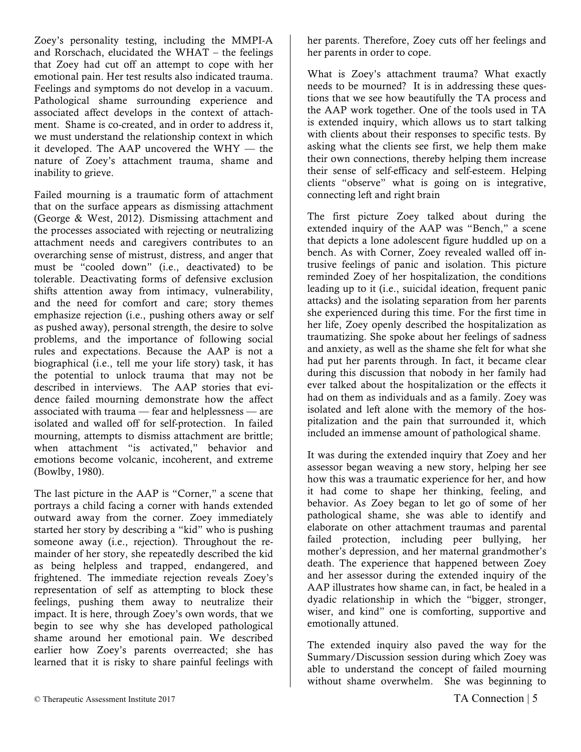Zoey's personality testing, including the MMPI-A and Rorschach, elucidated the WHAT – the feelings that Zoey had cut off an attempt to cope with her emotional pain. Her test results also indicated trauma. Feelings and symptoms do not develop in a vacuum. Pathological shame surrounding experience and associated affect develops in the context of attachment. Shame is co-created, and in order to address it, we must understand the relationship context in which it developed. The AAP uncovered the WHY — the nature of Zoey's attachment trauma, shame and inability to grieve.

Failed mourning is a traumatic form of attachment that on the surface appears as dismissing attachment (George & West, 2012). Dismissing attachment and the processes associated with rejecting or neutralizing attachment needs and caregivers contributes to an overarching sense of mistrust, distress, and anger that must be "cooled down" (i.e., deactivated) to be tolerable. Deactivating forms of defensive exclusion shifts attention away from intimacy, vulnerability, and the need for comfort and care; story themes emphasize rejection (i.e., pushing others away or self as pushed away), personal strength, the desire to solve problems, and the importance of following social rules and expectations. Because the AAP is not a biographical (i.e., tell me your life story) task, it has the potential to unlock trauma that may not be described in interviews. The AAP stories that evidence failed mourning demonstrate how the affect associated with trauma — fear and helplessness — are isolated and walled off for self-protection. In failed mourning, attempts to dismiss attachment are brittle; when attachment "is activated," behavior and emotions become volcanic, incoherent, and extreme (Bowlby, 1980).

The last picture in the AAP is "Corner," a scene that portrays a child facing a corner with hands extended outward away from the corner. Zoey immediately started her story by describing a "kid" who is pushing someone away (i.e., rejection). Throughout the remainder of her story, she repeatedly described the kid as being helpless and trapped, endangered, and frightened. The immediate rejection reveals Zoey's representation of self as attempting to block these feelings, pushing them away to neutralize their impact. It is here, through Zoey's own words, that we begin to see why she has developed pathological shame around her emotional pain. We described earlier how Zoey's parents overreacted; she has learned that it is risky to share painful feelings with

her parents. Therefore, Zoey cuts off her feelings and her parents in order to cope.

What is Zoey's attachment trauma? What exactly needs to be mourned? It is in addressing these questions that we see how beautifully the TA process and the AAP work together. One of the tools used in TA is extended inquiry, which allows us to start talking with clients about their responses to specific tests. By asking what the clients see first, we help them make their own connections, thereby helping them increase their sense of self-efficacy and self-esteem. Helping clients "observe" what is going on is integrative, connecting left and right brain

The first picture Zoey talked about during the extended inquiry of the AAP was "Bench," a scene that depicts a lone adolescent figure huddled up on a bench. As with Corner, Zoey revealed walled off intrusive feelings of panic and isolation. This picture reminded Zoey of her hospitalization, the conditions leading up to it (i.e., suicidal ideation, frequent panic attacks) and the isolating separation from her parents she experienced during this time. For the first time in her life, Zoey openly described the hospitalization as traumatizing. She spoke about her feelings of sadness and anxiety, as well as the shame she felt for what she had put her parents through. In fact, it became clear during this discussion that nobody in her family had ever talked about the hospitalization or the effects it had on them as individuals and as a family. Zoey was isolated and left alone with the memory of the hospitalization and the pain that surrounded it, which included an immense amount of pathological shame.

It was during the extended inquiry that Zoey and her assessor began weaving a new story, helping her see how this was a traumatic experience for her, and how it had come to shape her thinking, feeling, and behavior. As Zoey began to let go of some of her pathological shame, she was able to identify and elaborate on other attachment traumas and parental failed protection, including peer bullying, her mother's depression, and her maternal grandmother's death. The experience that happened between Zoey and her assessor during the extended inquiry of the AAP illustrates how shame can, in fact, be healed in a dyadic relationship in which the "bigger, stronger, wiser, and kind" one is comforting, supportive and emotionally attuned.

The extended inquiry also paved the way for the Summary/Discussion session during which Zoey was able to understand the concept of failed mourning without shame overwhelm. She was beginning to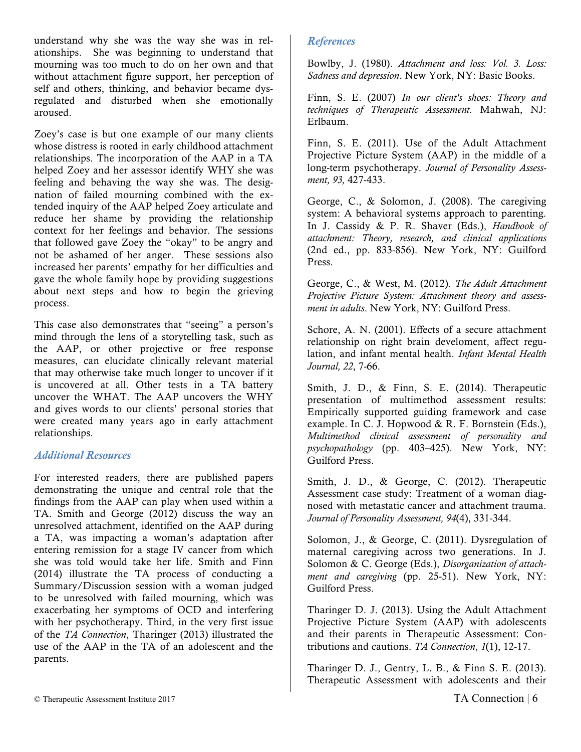understand why she was the way she was in relationships. She was beginning to understand that mourning was too much to do on her own and that without attachment figure support, her perception of self and others, thinking, and behavior became dysregulated and disturbed when she emotionally aroused.

Zoey's case is but one example of our many clients whose distress is rooted in early childhood attachment relationships. The incorporation of the AAP in a TA helped Zoey and her assessor identify WHY she was feeling and behaving the way she was. The designation of failed mourning combined with the extended inquiry of the AAP helped Zoey articulate and reduce her shame by providing the relationship context for her feelings and behavior. The sessions that followed gave Zoey the "okay" to be angry and not be ashamed of her anger. These sessions also increased her parents' empathy for her difficulties and gave the whole family hope by providing suggestions about next steps and how to begin the grieving process.

This case also demonstrates that "seeing" a person's mind through the lens of a storytelling task, such as the AAP, or other projective or free response measures, can elucidate clinically relevant material that may otherwise take much longer to uncover if it is uncovered at all. Other tests in a TA battery uncover the WHAT. The AAP uncovers the WHY and gives words to our clients' personal stories that were created many years ago in early attachment relationships.

### *Additional Resources*

For interested readers, there are published papers demonstrating the unique and central role that the findings from the AAP can play when used within a TA. Smith and George (2012) discuss the way an unresolved attachment, identified on the AAP during a TA, was impacting a woman's adaptation after entering remission for a stage IV cancer from which she was told would take her life. Smith and Finn (2014) illustrate the TA process of conducting a Summary/Discussion session with a woman judged to be unresolved with failed mourning, which was exacerbating her symptoms of OCD and interfering with her psychotherapy. Third, in the very first issue of the *TA Connection*, Tharinger (2013) illustrated the use of the AAP in the TA of an adolescent and the parents.

### *References*

Bowlby, J. (1980). *Attachment and loss: Vol. 3. Loss: Sadness and depression*. New York, NY: Basic Books.

Finn, S. E. (2007) *In our client's shoes: Theory and techniques of Therapeutic Assessment.* Mahwah, NJ: Erlbaum.

Finn, S. E. (2011). Use of the Adult Attachment Projective Picture System (AAP) in the middle of a long-term psychotherapy. *Journal of Personality Assessment, 93,* 427-433.

George, C., & Solomon, J. (2008). The caregiving system: A behavioral systems approach to parenting. In J. Cassidy & P. R. Shaver (Eds.), *Handbook of attachment: Theory, research, and clinical applications* (2nd ed., pp. 833-856). New York, NY: Guilford Press.

George, C., & West, M. (2012). *The Adult Attachment Projective Picture System: Attachment theory and assessment in adults*. New York, NY: Guilford Press.

Schore, A. N. (2001). Effects of a secure attachment relationship on right brain develoment, affect regulation, and infant mental health. *Infant Mental Health Journal, 22*, 7-66.

Smith, J. D., & Finn, S. E. (2014). Therapeutic presentation of multimethod assessment results: Empirically supported guiding framework and case example. In C. J. Hopwood & R. F. Bornstein (Eds.), *Multimethod clinical assessment of personality and psychopathology* (pp. 403–425). New York, NY: Guilford Press.

Smith, J. D., & George, C. (2012). Therapeutic Assessment case study: Treatment of a woman diagnosed with metastatic cancer and attachment trauma. *Journal of Personality Assessment, 94*(4), 331-344.

Solomon, J., & George, C. (2011). Dysregulation of maternal caregiving across two generations. In J. Solomon & C. George (Eds.), *Disorganization of attachment and caregiving* (pp. 25-51). New York, NY: Guilford Press.

Tharinger D. J. (2013). Using the Adult Attachment Projective Picture System (AAP) with adolescents and their parents in Therapeutic Assessment: Contributions and cautions. *TA Connection*, *1*(1), 12-17.

Tharinger D. J., Gentry, L. B., & Finn S. E. (2013). Therapeutic Assessment with adolescents and their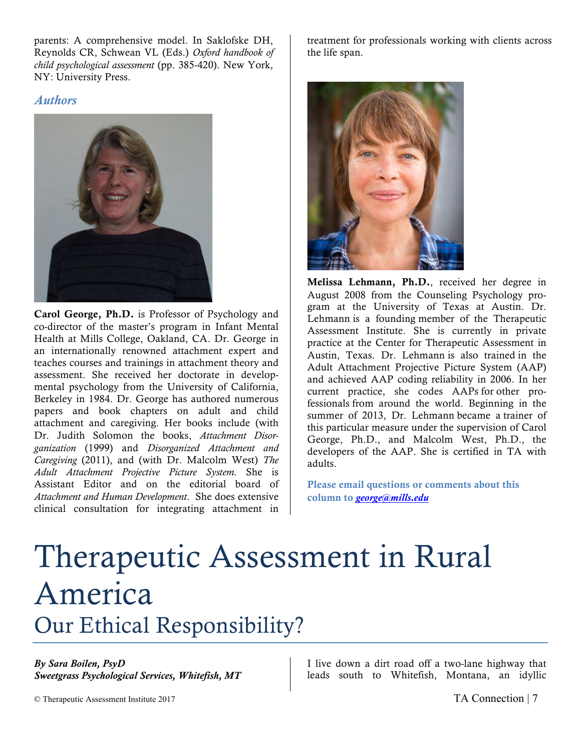parents: A comprehensive model. In Saklofske DH, Reynolds CR, Schwean VL (Eds.) *Oxford handbook of child psychological assessment* (pp. 385-420). New York, NY: University Press.

### *Authors*



Carol George, Ph.D. is Professor of Psychology and co-director of the master's program in Infant Mental Health at Mills College, Oakland, CA. Dr. George in an internationally renowned attachment expert and teaches courses and trainings in attachment theory and assessment. She received her doctorate in developmental psychology from the University of California, Berkeley in 1984. Dr. George has authored numerous papers and book chapters on adult and child attachment and caregiving. Her books include (with Dr. Judith Solomon the books, *Attachment Disorganization* (1999) and *Disorganized Attachment and Caregiving* (2011), and (with Dr. Malcolm West) *The Adult Attachment Projective Picture System.* She is Assistant Editor and on the editorial board of *Attachment and Human Development*. She does extensive clinical consultation for integrating attachment in treatment for professionals working with clients across the life span.



Melissa Lehmann, Ph.D., received her degree in August 2008 from the Counseling Psychology program at the University of Texas at Austin. Dr. Lehmann is a founding member of the Therapeutic Assessment Institute. She is currently in private practice at the Center for Therapeutic Assessment in Austin, Texas. Dr. Lehmann is also trained in the Adult Attachment Projective Picture System (AAP) and achieved AAP coding reliability in 2006. In her current practice, she codes AAPs for other professionals from around the world. Beginning in the summer of 2013, Dr. Lehmann became a trainer of this particular measure under the supervision of Carol George, Ph.D., and Malcolm West, Ph.D., the developers of the AAP. She is certified in TA with adults.

Please email questions or comments about this column to *george@mills.edu*

## Therapeutic Assessment in Rural America Our Ethical Responsibility?

#### *By Sara Boilen, PsyD Sweetgrass Psychological Services, Whitefish, MT*

I live down a dirt road off a two-lane highway that leads south to Whitefish, Montana, an idyllic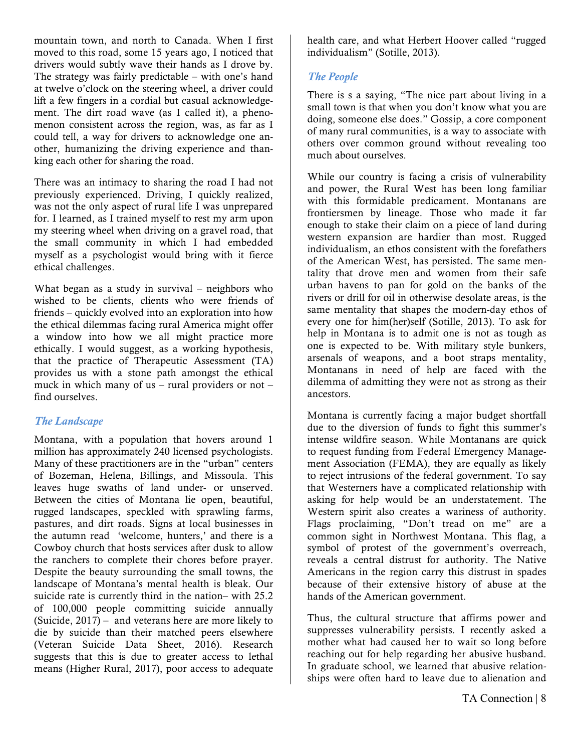mountain town, and north to Canada. When I first moved to this road, some 15 years ago, I noticed that drivers would subtly wave their hands as I drove by. The strategy was fairly predictable – with one's hand at twelve o'clock on the steering wheel, a driver could lift a few fingers in a cordial but casual acknowledgement. The dirt road wave (as I called it), a phenomenon consistent across the region, was, as far as I could tell, a way for drivers to acknowledge one another, humanizing the driving experience and thanking each other for sharing the road.

There was an intimacy to sharing the road I had not previously experienced. Driving, I quickly realized, was not the only aspect of rural life I was unprepared for. I learned, as I trained myself to rest my arm upon my steering wheel when driving on a gravel road, that the small community in which I had embedded myself as a psychologist would bring with it fierce ethical challenges.

What began as a study in survival – neighbors who wished to be clients, clients who were friends of friends – quickly evolved into an exploration into how the ethical dilemmas facing rural America might offer a window into how we all might practice more ethically. I would suggest, as a working hypothesis, that the practice of Therapeutic Assessment (TA) provides us with a stone path amongst the ethical muck in which many of us – rural providers or not – find ourselves.

### *The Landscape*

Montana, with a population that hovers around 1 million has approximately 240 licensed psychologists. Many of these practitioners are in the "urban" centers of Bozeman, Helena, Billings, and Missoula. This leaves huge swaths of land under- or unserved. Between the cities of Montana lie open, beautiful, rugged landscapes, speckled with sprawling farms, pastures, and dirt roads. Signs at local businesses in the autumn read 'welcome, hunters,' and there is a Cowboy church that hosts services after dusk to allow the ranchers to complete their chores before prayer. Despite the beauty surrounding the small towns, the landscape of Montana's mental health is bleak. Our suicide rate is currently third in the nation– with 25.2 of 100,000 people committing suicide annually (Suicide, 2017) – and veterans here are more likely to die by suicide than their matched peers elsewhere (Veteran Suicide Data Sheet, 2016). Research suggests that this is due to greater access to lethal means (Higher Rural, 2017), poor access to adequate

health care, and what Herbert Hoover called "rugged individualism" (Sotille, 2013).

### *The People*

There is s a saying, "The nice part about living in a small town is that when you don't know what you are doing, someone else does." Gossip, a core component of many rural communities, is a way to associate with others over common ground without revealing too much about ourselves.

While our country is facing a crisis of vulnerability and power, the Rural West has been long familiar with this formidable predicament. Montanans are frontiersmen by lineage. Those who made it far enough to stake their claim on a piece of land during western expansion are hardier than most. Rugged individualism, an ethos consistent with the forefathers of the American West, has persisted. The same mentality that drove men and women from their safe urban havens to pan for gold on the banks of the rivers or drill for oil in otherwise desolate areas, is the same mentality that shapes the modern-day ethos of every one for him(her)self (Sotille, 2013). To ask for help in Montana is to admit one is not as tough as one is expected to be. With military style bunkers, arsenals of weapons, and a boot straps mentality, Montanans in need of help are faced with the dilemma of admitting they were not as strong as their ancestors.

Montana is currently facing a major budget shortfall due to the diversion of funds to fight this summer's intense wildfire season. While Montanans are quick to request funding from Federal Emergency Management Association (FEMA), they are equally as likely to reject intrusions of the federal government. To say that Westerners have a complicated relationship with asking for help would be an understatement. The Western spirit also creates a wariness of authority. Flags proclaiming, "Don't tread on me" are a common sight in Northwest Montana. This flag, a symbol of protest of the government's overreach, reveals a central distrust for authority. The Native Americans in the region carry this distrust in spades because of their extensive history of abuse at the hands of the American government.

Thus, the cultural structure that affirms power and suppresses vulnerability persists. I recently asked a mother what had caused her to wait so long before reaching out for help regarding her abusive husband. In graduate school, we learned that abusive relationships were often hard to leave due to alienation and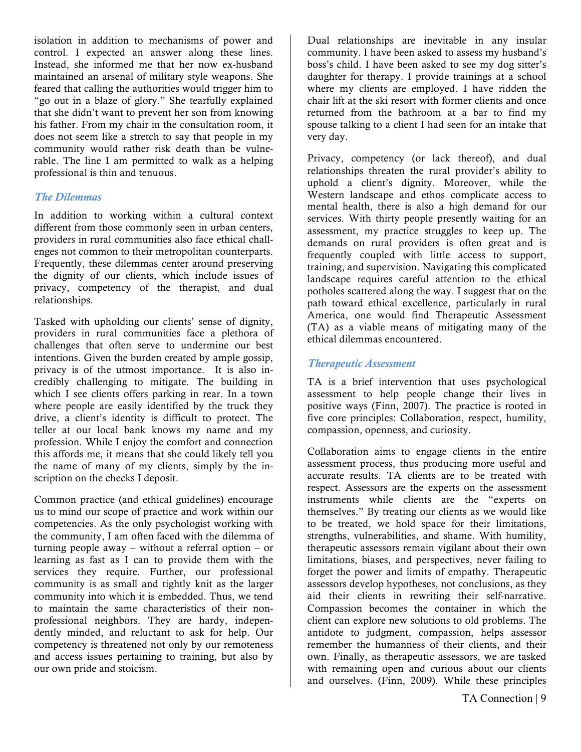isolation in addition to mechanisms of power and control. I expected an answer along these lines. Instead, she informed me that her now ex-husband maintained an arsenal of military style weapons. She feared that calling the authorities would trigger him to "go out in a blaze of glory." She tearfully explained that she didn't want to prevent her son from knowing his father. From my chair in the consultation room, it does not seem like a stretch to say that people in my community would rather risk death than be vulnerable. The line I am permitted to walk as a helping professional is thin and tenuous.

### *The Dilemmas*

In addition to working within a cultural context different from those commonly seen in urban centers, providers in rural communities also face ethical challenges not common to their metropolitan counterparts. Frequently, these dilemmas center around preserving the dignity of our clients, which include issues of privacy, competency of the therapist, and dual relationships.

Tasked with upholding our clients' sense of dignity, providers in rural communities face a plethora of challenges that often serve to undermine our best intentions. Given the burden created by ample gossip, privacy is of the utmost importance. It is also incredibly challenging to mitigate. The building in which I see clients offers parking in rear. In a town where people are easily identified by the truck they drive, a client's identity is difficult to protect. The teller at our local bank knows my name and my profession. While I enjoy the comfort and connection this affords me, it means that she could likely tell you the name of many of my clients, simply by the inscription on the checks I deposit.

Common practice (and ethical guidelines) encourage us to mind our scope of practice and work within our competencies. As the only psychologist working with the community, I am often faced with the dilemma of turning people away – without a referral option – or learning as fast as I can to provide them with the services they require. Further, our professional community is as small and tightly knit as the larger community into which it is embedded. Thus, we tend to maintain the same characteristics of their nonprofessional neighbors. They are hardy, independently minded, and reluctant to ask for help. Our competency is threatened not only by our remoteness and access issues pertaining to training, but also by our own pride and stoicism.

Dual relationships are inevitable in any insular community. I have been asked to assess my husband's boss's child. I have been asked to see my dog sitter's daughter for therapy. I provide trainings at a school where my clients are employed. I have ridden the chair lift at the ski resort with former clients and once returned from the bathroom at a bar to find my spouse talking to a client I had seen for an intake that very day.

Privacy, competency (or lack thereof), and dual relationships threaten the rural provider's ability to uphold a client's dignity. Moreover, while the Western landscape and ethos complicate access to mental health, there is also a high demand for our services. With thirty people presently waiting for an assessment, my practice struggles to keep up. The demands on rural providers is often great and is frequently coupled with little access to support, training, and supervision. Navigating this complicated landscape requires careful attention to the ethical potholes scattered along the way. I suggest that on the path toward ethical excellence, particularly in rural America, one would find Therapeutic Assessment (TA) as a viable means of mitigating many of the ethical dilemmas encountered.

### *Therapeutic Assessment*

TA is a brief intervention that uses psychological assessment to help people change their lives in positive ways (Finn, 2007). The practice is rooted in five core principles: Collaboration, respect, humility, compassion, openness, and curiosity.

Collaboration aims to engage clients in the entire assessment process, thus producing more useful and accurate results. TA clients are to be treated with respect. Assessors are the experts on the assessment instruments while clients are the "experts on themselves." By treating our clients as we would like to be treated, we hold space for their limitations, strengths, vulnerabilities, and shame. With humility, therapeutic assessors remain vigilant about their own limitations, biases, and perspectives, never failing to forget the power and limits of empathy. Therapeutic assessors develop hypotheses, not conclusions, as they aid their clients in rewriting their self-narrative. Compassion becomes the container in which the client can explore new solutions to old problems. The antidote to judgment, compassion, helps assessor remember the humanness of their clients, and their own. Finally, as therapeutic assessors, we are tasked with remaining open and curious about our clients and ourselves. (Finn, 2009). While these principles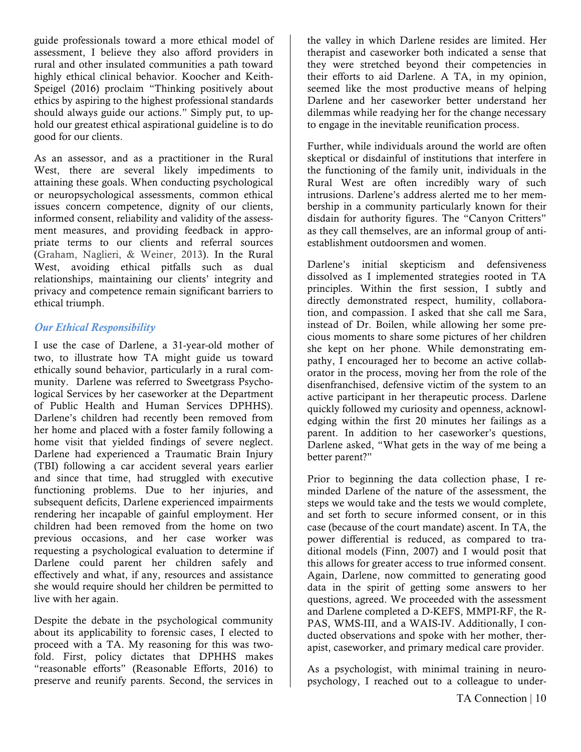guide professionals toward a more ethical model of assessment, I believe they also afford providers in rural and other insulated communities a path toward highly ethical clinical behavior. Koocher and Keith-Speigel (2016) proclaim "Thinking positively about ethics by aspiring to the highest professional standards should always guide our actions." Simply put, to uphold our greatest ethical aspirational guideline is to do good for our clients.

As an assessor, and as a practitioner in the Rural West, there are several likely impediments to attaining these goals. When conducting psychological or neuropsychological assessments, common ethical issues concern competence, dignity of our clients, informed consent, reliability and validity of the assessment measures, and providing feedback in appropriate terms to our clients and referral sources (Graham, Naglieri, & Weiner, 2013). In the Rural West, avoiding ethical pitfalls such as dual relationships, maintaining our clients' integrity and privacy and competence remain significant barriers to ethical triumph.

### *Our Ethical Responsibility*

I use the case of Darlene, a 31-year-old mother of two, to illustrate how TA might guide us toward ethically sound behavior, particularly in a rural community. Darlene was referred to Sweetgrass Psychological Services by her caseworker at the Department of Public Health and Human Services DPHHS). Darlene's children had recently been removed from her home and placed with a foster family following a home visit that yielded findings of severe neglect. Darlene had experienced a Traumatic Brain Injury (TBI) following a car accident several years earlier and since that time, had struggled with executive functioning problems. Due to her injuries, and subsequent deficits, Darlene experienced impairments rendering her incapable of gainful employment. Her children had been removed from the home on two previous occasions, and her case worker was requesting a psychological evaluation to determine if Darlene could parent her children safely and effectively and what, if any, resources and assistance she would require should her children be permitted to live with her again.

Despite the debate in the psychological community about its applicability to forensic cases, I elected to proceed with a TA. My reasoning for this was twofold. First, policy dictates that DPHHS makes "reasonable efforts" (Reasonable Efforts, 2016) to preserve and reunify parents. Second, the services in

the valley in which Darlene resides are limited. Her therapist and caseworker both indicated a sense that they were stretched beyond their competencies in their efforts to aid Darlene. A TA, in my opinion, seemed like the most productive means of helping Darlene and her caseworker better understand her dilemmas while readying her for the change necessary to engage in the inevitable reunification process.

Further, while individuals around the world are often skeptical or disdainful of institutions that interfere in the functioning of the family unit, individuals in the Rural West are often incredibly wary of such intrusions. Darlene's address alerted me to her membership in a community particularly known for their disdain for authority figures. The "Canyon Critters" as they call themselves, are an informal group of antiestablishment outdoorsmen and women.

Darlene's initial skepticism and defensiveness dissolved as I implemented strategies rooted in TA principles. Within the first session, I subtly and directly demonstrated respect, humility, collaboration, and compassion. I asked that she call me Sara, instead of Dr. Boilen, while allowing her some precious moments to share some pictures of her children she kept on her phone. While demonstrating empathy, I encouraged her to become an active collaborator in the process, moving her from the role of the disenfranchised, defensive victim of the system to an active participant in her therapeutic process. Darlene quickly followed my curiosity and openness, acknowledging within the first 20 minutes her failings as a parent. In addition to her caseworker's questions, Darlene asked, "What gets in the way of me being a better parent?"

Prior to beginning the data collection phase, I reminded Darlene of the nature of the assessment, the steps we would take and the tests we would complete, and set forth to secure informed consent, or in this case (because of the court mandate) ascent. In TA, the power differential is reduced, as compared to traditional models (Finn, 2007) and I would posit that this allows for greater access to true informed consent. Again, Darlene, now committed to generating good data in the spirit of getting some answers to her questions, agreed. We proceeded with the assessment and Darlene completed a D-KEFS, MMPI-RF, the R-PAS, WMS-III, and a WAIS-IV. Additionally, I conducted observations and spoke with her mother, therapist, caseworker, and primary medical care provider.

As a psychologist, with minimal training in neuropsychology, I reached out to a colleague to under-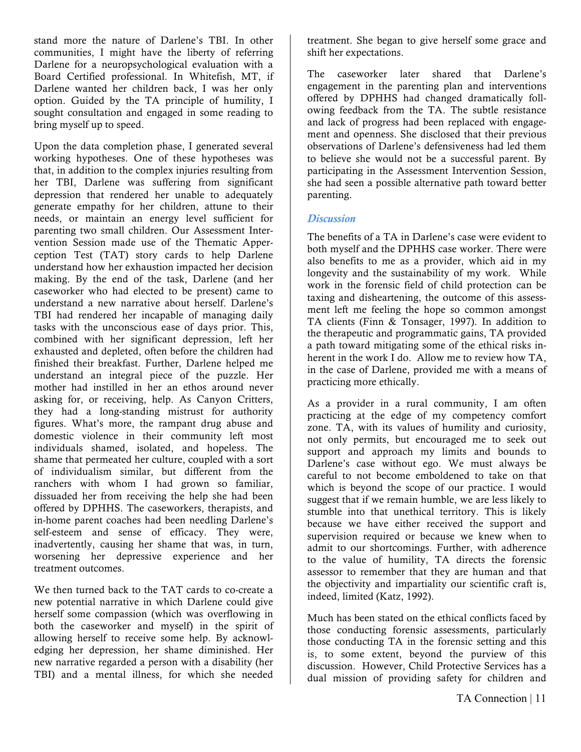stand more the nature of Darlene's TBI. In other communities, I might have the liberty of referring Darlene for a neuropsychological evaluation with a Board Certified professional. In Whitefish, MT, if Darlene wanted her children back, I was her only option. Guided by the TA principle of humility, I sought consultation and engaged in some reading to bring myself up to speed.

Upon the data completion phase, I generated several working hypotheses. One of these hypotheses was that, in addition to the complex injuries resulting from her TBI, Darlene was suffering from significant depression that rendered her unable to adequately generate empathy for her children, attune to their needs, or maintain an energy level sufficient for parenting two small children. Our Assessment Intervention Session made use of the Thematic Apperception Test (TAT) story cards to help Darlene understand how her exhaustion impacted her decision making. By the end of the task, Darlene (and her caseworker who had elected to be present) came to understand a new narrative about herself. Darlene's TBI had rendered her incapable of managing daily tasks with the unconscious ease of days prior. This, combined with her significant depression, left her exhausted and depleted, often before the children had finished their breakfast. Further, Darlene helped me understand an integral piece of the puzzle. Her mother had instilled in her an ethos around never asking for, or receiving, help. As Canyon Critters, they had a long-standing mistrust for authority figures. What's more, the rampant drug abuse and domestic violence in their community left most individuals shamed, isolated, and hopeless. The shame that permeated her culture, coupled with a sort of individualism similar, but different from the ranchers with whom I had grown so familiar, dissuaded her from receiving the help she had been offered by DPHHS. The caseworkers, therapists, and in-home parent coaches had been needling Darlene's self-esteem and sense of efficacy. They were, inadvertently, causing her shame that was, in turn, worsening her depressive experience and her treatment outcomes.

We then turned back to the TAT cards to co-create a new potential narrative in which Darlene could give herself some compassion (which was overflowing in both the caseworker and myself) in the spirit of allowing herself to receive some help. By acknowledging her depression, her shame diminished. Her new narrative regarded a person with a disability (her TBI) and a mental illness, for which she needed

treatment. She began to give herself some grace and shift her expectations.

The caseworker later shared that Darlene's engagement in the parenting plan and interventions offered by DPHHS had changed dramatically following feedback from the TA. The subtle resistance and lack of progress had been replaced with engagement and openness. She disclosed that their previous observations of Darlene's defensiveness had led them to believe she would not be a successful parent. By participating in the Assessment Intervention Session, she had seen a possible alternative path toward better parenting.

### *Discussion*

The benefits of a TA in Darlene's case were evident to both myself and the DPHHS case worker. There were also benefits to me as a provider, which aid in my longevity and the sustainability of my work. While work in the forensic field of child protection can be taxing and disheartening, the outcome of this assessment left me feeling the hope so common amongst TA clients (Finn & Tonsager, 1997). In addition to the therapeutic and programmatic gains, TA provided a path toward mitigating some of the ethical risks inherent in the work I do. Allow me to review how TA, in the case of Darlene, provided me with a means of practicing more ethically.

As a provider in a rural community, I am often practicing at the edge of my competency comfort zone. TA, with its values of humility and curiosity, not only permits, but encouraged me to seek out support and approach my limits and bounds to Darlene's case without ego. We must always be careful to not become emboldened to take on that which is beyond the scope of our practice. I would suggest that if we remain humble, we are less likely to stumble into that unethical territory. This is likely because we have either received the support and supervision required or because we knew when to admit to our shortcomings. Further, with adherence to the value of humility, TA directs the forensic assessor to remember that they are human and that the objectivity and impartiality our scientific craft is, indeed, limited (Katz, 1992).

Much has been stated on the ethical conflicts faced by those conducting forensic assessments, particularly those conducting TA in the forensic setting and this is, to some extent, beyond the purview of this discussion. However, Child Protective Services has a dual mission of providing safety for children and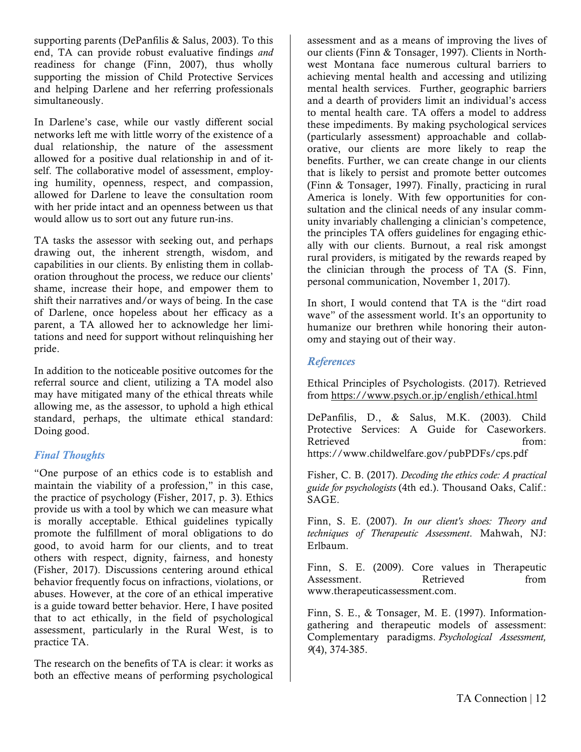supporting parents (DePanfilis & Salus, 2003). To this end, TA can provide robust evaluative findings *and* readiness for change (Finn, 2007), thus wholly supporting the mission of Child Protective Services and helping Darlene and her referring professionals simultaneously.

In Darlene's case, while our vastly different social networks left me with little worry of the existence of a dual relationship, the nature of the assessment allowed for a positive dual relationship in and of itself. The collaborative model of assessment, employing humility, openness, respect, and compassion, allowed for Darlene to leave the consultation room with her pride intact and an openness between us that would allow us to sort out any future run-ins.

TA tasks the assessor with seeking out, and perhaps drawing out, the inherent strength, wisdom, and capabilities in our clients. By enlisting them in collaboration throughout the process, we reduce our clients' shame, increase their hope, and empower them to shift their narratives and/or ways of being. In the case of Darlene, once hopeless about her efficacy as a parent, a TA allowed her to acknowledge her limitations and need for support without relinquishing her pride.

In addition to the noticeable positive outcomes for the referral source and client, utilizing a TA model also may have mitigated many of the ethical threats while allowing me, as the assessor, to uphold a high ethical standard, perhaps, the ultimate ethical standard: Doing good.

### *Final Thoughts*

"One purpose of an ethics code is to establish and maintain the viability of a profession," in this case, the practice of psychology (Fisher, 2017, p. 3). Ethics provide us with a tool by which we can measure what is morally acceptable. Ethical guidelines typically promote the fulfillment of moral obligations to do good, to avoid harm for our clients, and to treat others with respect, dignity, fairness, and honesty (Fisher, 2017). Discussions centering around ethical behavior frequently focus on infractions, violations, or abuses. However, at the core of an ethical imperative is a guide toward better behavior. Here, I have posited that to act ethically, in the field of psychological assessment, particularly in the Rural West, is to practice TA.

The research on the benefits of TA is clear: it works as both an effective means of performing psychological assessment and as a means of improving the lives of our clients (Finn & Tonsager, 1997). Clients in Northwest Montana face numerous cultural barriers to achieving mental health and accessing and utilizing mental health services. Further, geographic barriers and a dearth of providers limit an individual's access to mental health care. TA offers a model to address these impediments. By making psychological services (particularly assessment) approachable and collaborative, our clients are more likely to reap the benefits. Further, we can create change in our clients that is likely to persist and promote better outcomes (Finn & Tonsager, 1997). Finally, practicing in rural America is lonely. With few opportunities for consultation and the clinical needs of any insular community invariably challenging a clinician's competence, the principles TA offers guidelines for engaging ethically with our clients. Burnout, a real risk amongst rural providers, is mitigated by the rewards reaped by the clinician through the process of TA (S. Finn, personal communication, November 1, 2017).

In short, I would contend that TA is the "dirt road wave" of the assessment world. It's an opportunity to humanize our brethren while honoring their autonomy and staying out of their way.

### *References*

Ethical Principles of Psychologists. (2017). Retrieved from https://www.psych.or.jp/english/ethical.html

DePanfilis, D., & Salus, M.K. (2003). Child Protective Services: A Guide for Caseworkers. Retrieved from: https://www.childwelfare.gov/pubPDFs/cps.pdf

Fisher, C. B. (2017). *Decoding the ethics code: A practical guide for psychologists* (4th ed.). Thousand Oaks, Calif.: SAGE.

Finn, S. E. (2007). *In our client's shoes: Theory and techniques of Therapeutic Assessment*. Mahwah, NJ: Erlbaum.

Finn, S. E. (2009). Core values in Therapeutic Assessment. Retrieved from www.therapeuticassessment.com.

Finn, S. E., & Tonsager, M. E. (1997). Informationgathering and therapeutic models of assessment: Complementary paradigms. *Psychological Assessment, 9*(4), 374-385.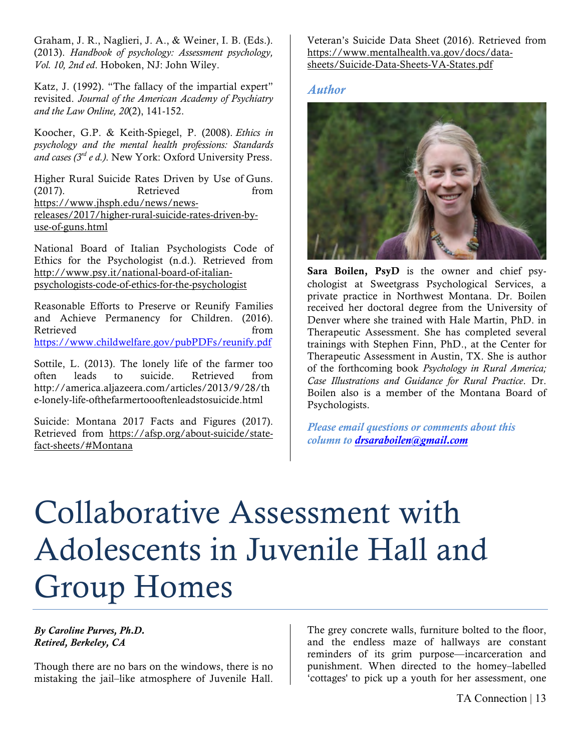Graham, J. R., Naglieri, J. A., & Weiner, I. B. (Eds.). (2013). *Handbook of psychology: Assessment psychology, Vol. 10, 2nd ed*. Hoboken, NJ: John Wiley.

Katz, J. (1992). "The fallacy of the impartial expert" revisited. *Journal of the American Academy of Psychiatry and the Law Online, 20*(2), 141-152.

Koocher, G.P. & Keith-Spiegel, P. (2008). *Ethics in psychology and the mental health professions: Standards and cases (3rd e d.)*. New York: Oxford University Press.

Higher Rural Suicide Rates Driven by Use of Guns. (2017). Retrieved from https://www.jhsph.edu/news/newsreleases/2017/higher-rural-suicide-rates-driven-byuse-of-guns.html

National Board of Italian Psychologists Code of Ethics for the Psychologist (n.d.). Retrieved from http://www.psy.it/national-board-of-italianpsychologists-code-of-ethics-for-the-psychologist

Reasonable Efforts to Preserve or Reunify Families and Achieve Permanency for Children. (2016). Retrieved from the settlement of the settlement of the settlement of the settlement of the settlement of the set https://www.childwelfare.gov/pubPDFs/reunify.pdf

Sottile, L. (2013). The lonely life of the farmer too often leads to suicide. Retrieved from http://america.aljazeera.com/articles/2013/9/28/th e-lonely-life-ofthefarmertoooftenleadstosuicide.html

Suicide: Montana 2017 Facts and Figures (2017). Retrieved from https://afsp.org/about-suicide/statefact-sheets/#Montana

Veteran's Suicide Data Sheet (2016). Retrieved from https://www.mentalhealth.va.gov/docs/datasheets/Suicide-Data-Sheets-VA-States.pdf

### *Author*



Sara Boilen, PsyD is the owner and chief psychologist at Sweetgrass Psychological Services, a private practice in Northwest Montana. Dr. Boilen received her doctoral degree from the University of Denver where she trained with Hale Martin, PhD. in Therapeutic Assessment. She has completed several trainings with Stephen Finn, PhD., at the Center for Therapeutic Assessment in Austin, TX. She is author of the forthcoming book *Psychology in Rural America; Case Illustrations and Guidance for Rural Practice*. Dr. Boilen also is a member of the Montana Board of Psychologists.

*Please email questions or comments about this column to drsaraboilen@gmail.com*

# Collaborative Assessment with Adolescents in Juvenile Hall and Group Homes

### *By Caroline Purves, Ph.D. Retired, Berkeley, CA*

Though there are no bars on the windows, there is no mistaking the jail–like atmosphere of Juvenile Hall.

The grey concrete walls, furniture bolted to the floor, and the endless maze of hallways are constant reminders of its grim purpose—incarceration and punishment. When directed to the homey–labelled 'cottages' to pick up a youth for her assessment, one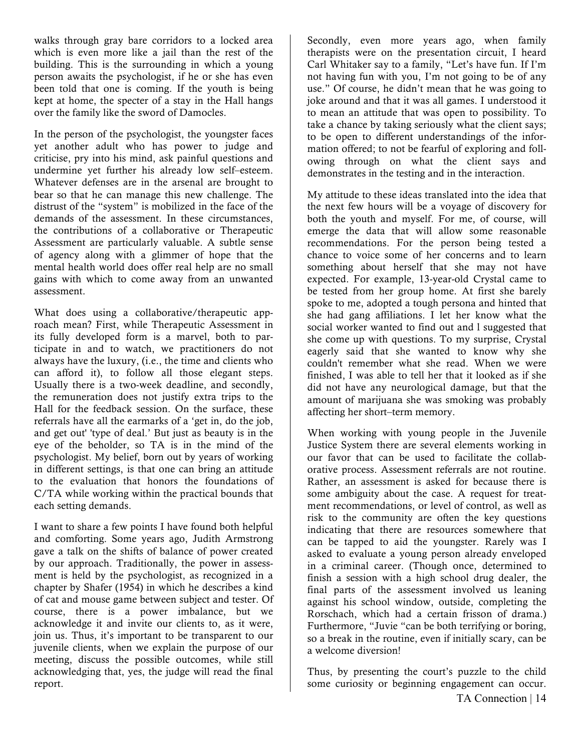walks through gray bare corridors to a locked area which is even more like a jail than the rest of the building. This is the surrounding in which a young person awaits the psychologist, if he or she has even been told that one is coming. If the youth is being kept at home, the specter of a stay in the Hall hangs over the family like the sword of Damocles.

In the person of the psychologist, the youngster faces yet another adult who has power to judge and criticise, pry into his mind, ask painful questions and undermine yet further his already low self–esteem. Whatever defenses are in the arsenal are brought to bear so that he can manage this new challenge. The distrust of the "system" is mobilized in the face of the demands of the assessment. In these circumstances, the contributions of a collaborative or Therapeutic Assessment are particularly valuable. A subtle sense of agency along with a glimmer of hope that the mental health world does offer real help are no small gains with which to come away from an unwanted assessment.

What does using a collaborative/therapeutic approach mean? First, while Therapeutic Assessment in its fully developed form is a marvel, both to participate in and to watch, we practitioners do not always have the luxury, (i.e., the time and clients who can afford it), to follow all those elegant steps. Usually there is a two-week deadline, and secondly, the remuneration does not justify extra trips to the Hall for the feedback session. On the surface, these referrals have all the earmarks of a 'get in, do the job, and get out' 'type of deal.' But just as beauty is in the eye of the beholder, so TA is in the mind of the psychologist. My belief, born out by years of working in different settings, is that one can bring an attitude to the evaluation that honors the foundations of C/TA while working within the practical bounds that each setting demands.

I want to share a few points I have found both helpful and comforting. Some years ago, Judith Armstrong gave a talk on the shifts of balance of power created by our approach. Traditionally, the power in assessment is held by the psychologist, as recognized in a chapter by Shafer (1954) in which he describes a kind of cat and mouse game between subject and tester. Of course, there is a power imbalance, but we acknowledge it and invite our clients to, as it were, join us. Thus, it's important to be transparent to our juvenile clients, when we explain the purpose of our meeting, discuss the possible outcomes, while still acknowledging that, yes, the judge will read the final report.

Secondly, even more years ago, when family therapists were on the presentation circuit, I heard Carl Whitaker say to a family, "Let's have fun. If I'm not having fun with you, I'm not going to be of any use." Of course, he didn't mean that he was going to joke around and that it was all games. I understood it to mean an attitude that was open to possibility. To take a chance by taking seriously what the client says; to be open to different understandings of the information offered; to not be fearful of exploring and following through on what the client says and demonstrates in the testing and in the interaction.

My attitude to these ideas translated into the idea that the next few hours will be a voyage of discovery for both the youth and myself. For me, of course, will emerge the data that will allow some reasonable recommendations. For the person being tested a chance to voice some of her concerns and to learn something about herself that she may not have expected. For example, 13-year-old Crystal came to be tested from her group home. At first she barely spoke to me, adopted a tough persona and hinted that she had gang affiliations. I let her know what the social worker wanted to find out and l suggested that she come up with questions. To my surprise, Crystal eagerly said that she wanted to know why she couldn't remember what she read. When we were finished, I was able to tell her that it looked as if she did not have any neurological damage, but that the amount of marijuana she was smoking was probably affecting her short–term memory.

When working with young people in the Juvenile Justice System there are several elements working in our favor that can be used to facilitate the collaborative process. Assessment referrals are not routine. Rather, an assessment is asked for because there is some ambiguity about the case. A request for treatment recommendations, or level of control, as well as risk to the community are often the key questions indicating that there are resources somewhere that can be tapped to aid the youngster. Rarely was I asked to evaluate a young person already enveloped in a criminal career. (Though once, determined to finish a session with a high school drug dealer, the final parts of the assessment involved us leaning against his school window, outside, completing the Rorschach, which had a certain frisson of drama.) Furthermore, "Juvie "can be both terrifying or boring, so a break in the routine, even if initially scary, can be a welcome diversion!

TA Connection | 14 Thus, by presenting the court's puzzle to the child some curiosity or beginning engagement can occur.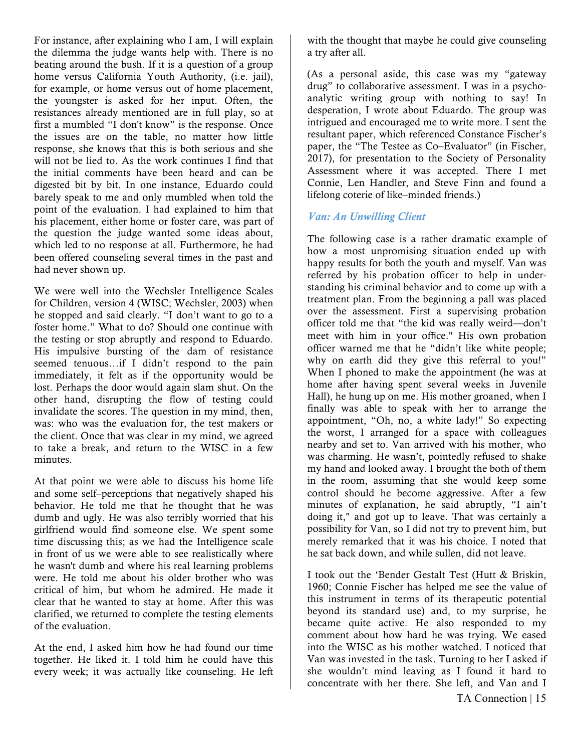For instance, after explaining who I am, I will explain the dilemma the judge wants help with. There is no beating around the bush. If it is a question of a group home versus California Youth Authority, (i.e. jail), for example, or home versus out of home placement, the youngster is asked for her input. Often, the resistances already mentioned are in full play, so at first a mumbled "I don't know" is the response. Once the issues are on the table, no matter how little response, she knows that this is both serious and she will not be lied to. As the work continues I find that the initial comments have been heard and can be digested bit by bit. In one instance, Eduardo could barely speak to me and only mumbled when told the point of the evaluation. I had explained to him that his placement, either home or foster care, was part of the question the judge wanted some ideas about, which led to no response at all. Furthermore, he had been offered counseling several times in the past and had never shown up.

We were well into the Wechsler Intelligence Scales for Children, version 4 (WISC; Wechsler, 2003) when he stopped and said clearly. "I don't want to go to a foster home." What to do? Should one continue with the testing or stop abruptly and respond to Eduardo. His impulsive bursting of the dam of resistance seemed tenuous…if I didn't respond to the pain immediately, it felt as if the opportunity would be lost. Perhaps the door would again slam shut. On the other hand, disrupting the flow of testing could invalidate the scores. The question in my mind, then, was: who was the evaluation for, the test makers or the client. Once that was clear in my mind, we agreed to take a break, and return to the WISC in a few minutes.

At that point we were able to discuss his home life and some self–perceptions that negatively shaped his behavior. He told me that he thought that he was dumb and ugly. He was also terribly worried that his girlfriend would find someone else. We spent some time discussing this; as we had the Intelligence scale in front of us we were able to see realistically where he wasn't dumb and where his real learning problems were. He told me about his older brother who was critical of him, but whom he admired. He made it clear that he wanted to stay at home. After this was clarified, we returned to complete the testing elements of the evaluation.

At the end, I asked him how he had found our time together. He liked it. I told him he could have this every week; it was actually like counseling. He left with the thought that maybe he could give counseling a try after all.

(As a personal aside, this case was my "gateway drug" to collaborative assessment. I was in a psychoanalytic writing group with nothing to say! In desperation, I wrote about Eduardo. The group was intrigued and encouraged me to write more. I sent the resultant paper, which referenced Constance Fischer's paper, the "The Testee as Co–Evaluator" (in Fischer, 2017), for presentation to the Society of Personality Assessment where it was accepted. There I met Connie, Len Handler, and Steve Finn and found a lifelong coterie of like–minded friends.)

### *Van: An Unwilling Client*

The following case is a rather dramatic example of how a most unpromising situation ended up with happy results for both the youth and myself. Van was referred by his probation officer to help in understanding his criminal behavior and to come up with a treatment plan. From the beginning a pall was placed over the assessment. First a supervising probation officer told me that "the kid was really weird—don't meet with him in your office." His own probation officer warned me that he "didn't like white people; why on earth did they give this referral to you!" When I phoned to make the appointment (he was at home after having spent several weeks in Juvenile Hall), he hung up on me. His mother groaned, when I finally was able to speak with her to arrange the appointment, "Oh, no, a white lady!" So expecting the worst, I arranged for a space with colleagues nearby and set to. Van arrived with his mother, who was charming. He wasn't, pointedly refused to shake my hand and looked away. I brought the both of them in the room, assuming that she would keep some control should he become aggressive. After a few minutes of explanation, he said abruptly, "I ain't doing it," and got up to leave. That was certainly a possibility for Van, so I did not try to prevent him, but merely remarked that it was his choice. I noted that he sat back down, and while sullen, did not leave.

I took out the 'Bender Gestalt Test (Hutt & Briskin, 1960; Connie Fischer has helped me see the value of this instrument in terms of its therapeutic potential beyond its standard use) and, to my surprise, he became quite active. He also responded to my comment about how hard he was trying. We eased into the WISC as his mother watched. I noticed that Van was invested in the task. Turning to her I asked if she wouldn't mind leaving as I found it hard to concentrate with her there. She left, and Van and I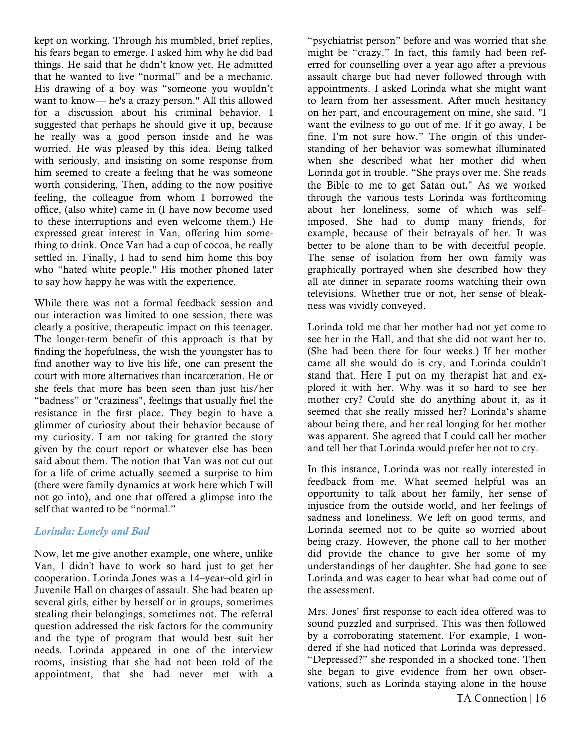kept on working. Through his mumbled, brief replies, his fears began to emerge. I asked him why he did bad things. He said that he didn't know yet. He admitted that he wanted to live "normal" and be a mechanic. His drawing of a boy was "someone you wouldn't want to know— he's a crazy person." All this allowed for a discussion about his criminal behavior. I suggested that perhaps he should give it up, because he really was a good person inside and he was worried. He was pleased by this idea. Being talked with seriously, and insisting on some response from him seemed to create a feeling that he was someone worth considering. Then, adding to the now positive feeling, the colleague from whom I borrowed the office, (also white) came in (I have now become used to these interruptions and even welcome them.) He expressed great interest in Van, offering him something to drink. Once Van had a cup of cocoa, he really settled in. Finally, I had to send him home this boy who "hated white people." His mother phoned later to say how happy he was with the experience.

While there was not a formal feedback session and our interaction was limited to one session, there was clearly a positive, therapeutic impact on this teenager. The longer-term benefit of this approach is that by finding the hopefulness, the wish the youngster has to find another way to live his life, one can present the court with more alternatives than incarceration. He or she feels that more has been seen than just his/her "badness" or "craziness", feelings that usually fuel the resistance in the first place. They begin to have a glimmer of curiosity about their behavior because of my curiosity. I am not taking for granted the story given by the court report or whatever else has been said about them. The notion that Van was not cut out for a life of crime actually seemed a surprise to him (there were family dynamics at work here which I will not go into), and one that offered a glimpse into the self that wanted to be "normal."

### *Lorinda: Lonely and Bad*

Now, let me give another example, one where, unlike Van, I didn't have to work so hard just to get her cooperation. Lorinda Jones was a 14–year–old girl in Juvenile Hall on charges of assault. She had beaten up several girls, either by herself or in groups, sometimes stealing their belongings, sometimes not. The referral question addressed the risk factors for the community and the type of program that would best suit her needs. Lorinda appeared in one of the interview rooms, insisting that she had not been told of the appointment, that she had never met with a

"psychiatrist person" before and was worried that she might be "crazy." In fact, this family had been referred for counselling over a year ago after a previous assault charge but had never followed through with appointments. I asked Lorinda what she might want to learn from her assessment. After much hesitancy on her part, and encouragement on mine, she said. "I want the evilness to go out of me. If it go away, I be fine. I'm not sure how." The origin of this understanding of her behavior was somewhat illuminated when she described what her mother did when Lorinda got in trouble. "She prays over me. She reads the Bible to me to get Satan out." As we worked through the various tests Lorinda was forthcoming about her loneliness, some of which was self– imposed. She had to dump many friends, for example, because of their betrayals of her. It was better to be alone than to be with deceitful people. The sense of isolation from her own family was graphically portrayed when she described how they all ate dinner in separate rooms watching their own televisions. Whether true or not, her sense of bleakness was vividly conveyed.

Lorinda told me that her mother had not yet come to see her in the Hall, and that she did not want her to. (She had been there for four weeks.) If her mother came all she would do is cry, and Lorinda couldn't stand that. Here I put on my therapist hat and explored it with her. Why was it so hard to see her mother cry? Could she do anything about it, as it seemed that she really missed her? Lorinda's shame about being there, and her real longing for her mother was apparent. She agreed that I could call her mother and tell her that Lorinda would prefer her not to cry.

In this instance, Lorinda was not really interested in feedback from me. What seemed helpful was an opportunity to talk about her family, her sense of injustice from the outside world, and her feelings of sadness and loneliness. We left on good terms, and Lorinda seemed not to be quite so worried about being crazy. However, the phone call to her mother did provide the chance to give her some of my understandings of her daughter. She had gone to see Lorinda and was eager to hear what had come out of the assessment.

Mrs. Jones' first response to each idea offered was to sound puzzled and surprised. This was then followed by a corroborating statement. For example, I wondered if she had noticed that Lorinda was depressed. "Depressed?" she responded in a shocked tone. Then she began to give evidence from her own observations, such as Lorinda staying alone in the house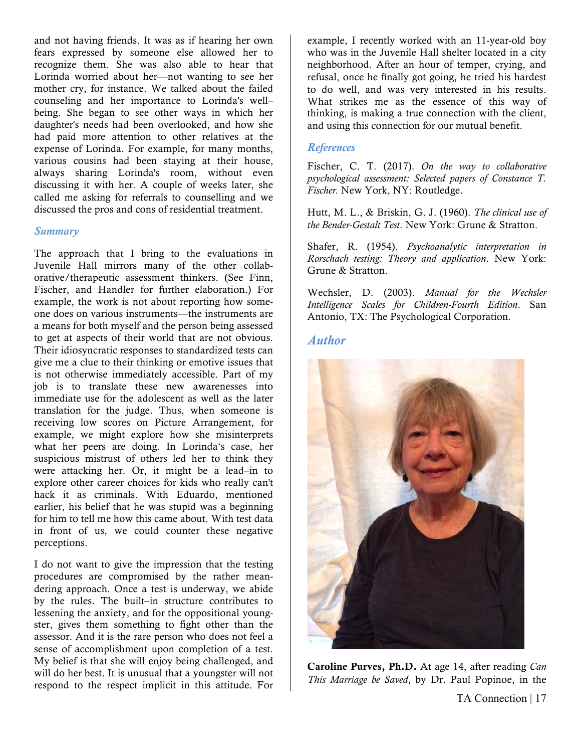and not having friends. It was as if hearing her own fears expressed by someone else allowed her to recognize them. She was also able to hear that Lorinda worried about her—not wanting to see her mother cry, for instance. We talked about the failed counseling and her importance to Lorinda's well– being. She began to see other ways in which her daughter's needs had been overlooked, and how she had paid more attention to other relatives at the expense of Lorinda. For example, for many months, various cousins had been staying at their house, always sharing Lorinda's room, without even discussing it with her. A couple of weeks later, she called me asking for referrals to counselling and we discussed the pros and cons of residential treatment.

#### *Summary*

The approach that I bring to the evaluations in Juvenile Hall mirrors many of the other collaborative/therapeutic assessment thinkers. (See Finn, Fischer, and Handler for further elaboration.) For example, the work is not about reporting how someone does on various instruments—the instruments are a means for both myself and the person being assessed to get at aspects of their world that are not obvious. Their idiosyncratic responses to standardized tests can give me a clue to their thinking or emotive issues that is not otherwise immediately accessible. Part of my job is to translate these new awarenesses into immediate use for the adolescent as well as the later translation for the judge. Thus, when someone is receiving low scores on Picture Arrangement, for example, we might explore how she misinterprets what her peers are doing. In Lorinda's case, her suspicious mistrust of others led her to think they were attacking her. Or, it might be a lead–in to explore other career choices for kids who really can't hack it as criminals. With Eduardo, mentioned earlier, his belief that he was stupid was a beginning for him to tell me how this came about. With test data in front of us, we could counter these negative perceptions.

I do not want to give the impression that the testing procedures are compromised by the rather meandering approach. Once a test is underway, we abide by the rules. The built–in structure contributes to lessening the anxiety, and for the oppositional youngster, gives them something to fight other than the assessor. And it is the rare person who does not feel a sense of accomplishment upon completion of a test. My belief is that she will enjoy being challenged, and will do her best. It is unusual that a youngster will not respond to the respect implicit in this attitude. For example, I recently worked with an 11-year-old boy who was in the Juvenile Hall shelter located in a city neighborhood. After an hour of temper, crying, and refusal, once he finally got going, he tried his hardest to do well, and was very interested in his results. What strikes me as the essence of this way of thinking, is making a true connection with the client, and using this connection for our mutual benefit.

### *References*

Fischer, C. T. (2017). *On the way to collaborative psychological assessment: Selected papers of Constance T. Fischer.* New York, NY: Routledge.

Hutt, M. L., & Briskin, G. J. (1960). *The clinical use of the Bender-Gestalt Test*. New York: Grune & Stratton.

Shafer, R. (1954). *Psychoanalytic interpretation in Rorschach testing: Theory and application*. New York: Grune & Stratton.

Wechsler, D. (2003). *Manual for the Wechsler Intelligence Scales for Children-Fourth Edition*. San Antonio, TX: The Psychological Corporation.

### *Author*



Caroline Purves, Ph.D. At age 14, after reading *Can This Marriage be Saved*, by Dr. Paul Popinoe, in the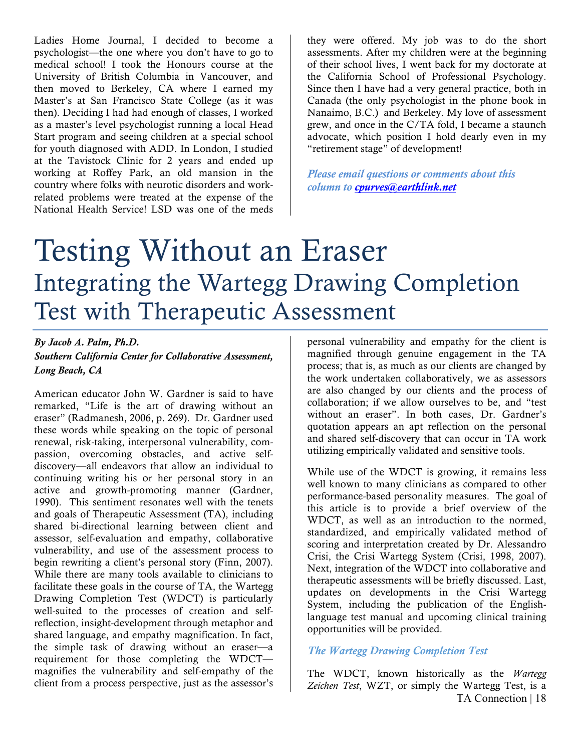Ladies Home Journal, I decided to become a psychologist—the one where you don't have to go to medical school! I took the Honours course at the University of British Columbia in Vancouver, and then moved to Berkeley, CA where I earned my Master's at San Francisco State College (as it was then). Deciding I had had enough of classes, I worked as a master's level psychologist running a local Head Start program and seeing children at a special school for youth diagnosed with ADD. In London, I studied at the Tavistock Clinic for 2 years and ended up working at Roffey Park, an old mansion in the country where folks with neurotic disorders and workrelated problems were treated at the expense of the National Health Service! LSD was one of the meds

they were offered. My job was to do the short assessments. After my children were at the beginning of their school lives, I went back for my doctorate at the California School of Professional Psychology. Since then I have had a very general practice, both in Canada (the only psychologist in the phone book in Nanaimo, B.C.) and Berkeley. My love of assessment grew, and once in the C/TA fold, I became a staunch advocate, which position I hold dearly even in my "retirement stage" of development!

*Please email questions or comments about this column to cpurves@earthlink.net*

### Testing Without an Eraser Integrating the Wartegg Drawing Completion Test with Therapeutic Assessment

### *By Jacob A. Palm, Ph.D. Southern California Center for Collaborative Assessment, Long Beach, CA*

American educator John W. Gardner is said to have remarked, "Life is the art of drawing without an eraser" (Radmanesh, 2006, p. 269). Dr. Gardner used these words while speaking on the topic of personal renewal, risk-taking, interpersonal vulnerability, compassion, overcoming obstacles, and active selfdiscovery—all endeavors that allow an individual to continuing writing his or her personal story in an active and growth-promoting manner (Gardner, 1990). This sentiment resonates well with the tenets and goals of Therapeutic Assessment (TA), including shared bi-directional learning between client and assessor, self-evaluation and empathy, collaborative vulnerability, and use of the assessment process to begin rewriting a client's personal story (Finn, 2007). While there are many tools available to clinicians to facilitate these goals in the course of TA, the Wartegg Drawing Completion Test (WDCT) is particularly well-suited to the processes of creation and selfreflection, insight-development through metaphor and shared language, and empathy magnification. In fact, the simple task of drawing without an eraser—a requirement for those completing the WDCT magnifies the vulnerability and self-empathy of the client from a process perspective, just as the assessor's

personal vulnerability and empathy for the client is magnified through genuine engagement in the TA process; that is, as much as our clients are changed by the work undertaken collaboratively, we as assessors are also changed by our clients and the process of collaboration; if we allow ourselves to be, and "test without an eraser". In both cases, Dr. Gardner's quotation appears an apt reflection on the personal and shared self-discovery that can occur in TA work utilizing empirically validated and sensitive tools.

While use of the WDCT is growing, it remains less well known to many clinicians as compared to other performance-based personality measures. The goal of this article is to provide a brief overview of the WDCT, as well as an introduction to the normed, standardized, and empirically validated method of scoring and interpretation created by Dr. Alessandro Crisi, the Crisi Wartegg System (Crisi, 1998, 2007). Next, integration of the WDCT into collaborative and therapeutic assessments will be briefly discussed. Last, updates on developments in the Crisi Wartegg System, including the publication of the Englishlanguage test manual and upcoming clinical training opportunities will be provided.

### *The Wartegg Drawing Completion Test*

TA Connection | 18 The WDCT, known historically as the *Wartegg Zeichen Test*, WZT, or simply the Wartegg Test, is a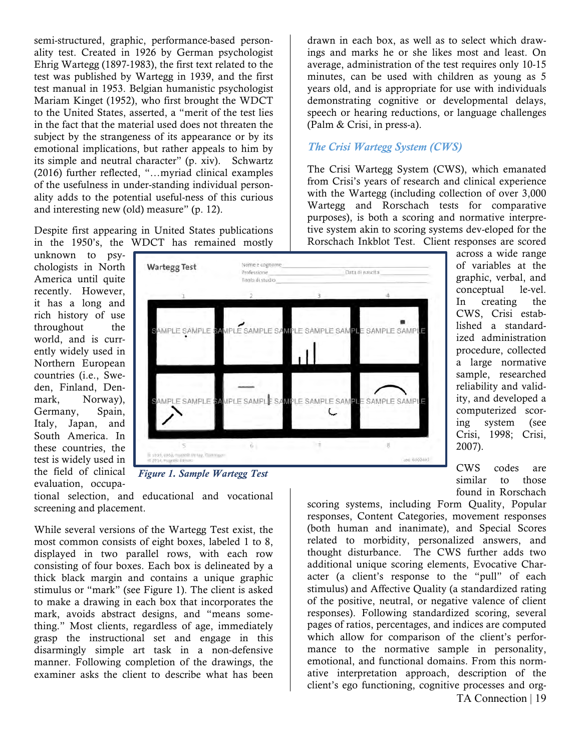semi-structured, graphic, performance-based personality test. Created in 1926 by German psychologist Ehrig Wartegg (1897-1983), the first text related to the test was published by Wartegg in 1939, and the first test manual in 1953. Belgian humanistic psychologist Mariam Kinget (1952), who first brought the WDCT to the United States, asserted, a "merit of the test lies in the fact that the material used does not threaten the subject by the strangeness of its appearance or by its emotional implications, but rather appeals to him by its simple and neutral character" (p. xiv). Schwartz (2016) further reflected, "…myriad clinical examples of the usefulness in under-standing individual personality adds to the potential useful-ness of this curious and interesting new (old) measure" (p. 12).

Despite first appearing in United States publications in the 1950's, the WDCT has remained mostly

unknown to psychologists in North America until quite recently. However, it has a long and rich history of use throughout the world, and is currently widely used in Northern European countries (i.e., Sweden, Finland, Denmark, Norway), Germany, Spain, Italy, Japan, and South America. In these countries, the test is widely used in the field of clinical evaluation, occupa-



*Figure 1. Sample Wartegg Test*

tional selection, and educational and vocational screening and placement.

While several versions of the Wartegg Test exist, the most common consists of eight boxes, labeled 1 to 8, displayed in two parallel rows, with each row consisting of four boxes. Each box is delineated by a thick black margin and contains a unique graphic stimulus or "mark" (see Figure 1). The client is asked to make a drawing in each box that incorporates the mark, avoids abstract designs, and "means something." Most clients, regardless of age, immediately grasp the instructional set and engage in this disarmingly simple art task in a non-defensive manner. Following completion of the drawings, the examiner asks the client to describe what has been

drawn in each box, as well as to select which drawings and marks he or she likes most and least. On average, administration of the test requires only 10-15 minutes, can be used with children as young as 5 years old, and is appropriate for use with individuals demonstrating cognitive or developmental delays, speech or hearing reductions, or language challenges (Palm & Crisi, in press-a).

### *The Crisi Wartegg System (CWS)*

The Crisi Wartegg System (CWS), which emanated from Crisi's years of research and clinical experience with the Wartegg (including collection of over 3,000 Wartegg and Rorschach tests for comparative purposes), is both a scoring and normative interpretive system akin to scoring systems dev-eloped for the Rorschach Inkblot Test. Client responses are scored

across a wide range of variables at the graphic, verbal, and conceptual le-vel. In creating the CWS, Crisi established a standardized administration procedure, collected a large normative sample, researched reliability and validity, and developed a computerized scoring system (see Crisi, 1998; Crisi, 2007).

CWS codes are similar to those found in Rorschach

TA Connection | 19 scoring systems, including Form Quality, Popular responses, Content Categories, movement responses (both human and inanimate), and Special Scores related to morbidity, personalized answers, and thought disturbance. The CWS further adds two additional unique scoring elements, Evocative Character (a client's response to the "pull" of each stimulus) and Affective Quality (a standardized rating of the positive, neutral, or negative valence of client responses). Following standardized scoring, several pages of ratios, percentages, and indices are computed which allow for comparison of the client's performance to the normative sample in personality, emotional, and functional domains. From this normative interpretation approach, description of the client's ego functioning, cognitive processes and org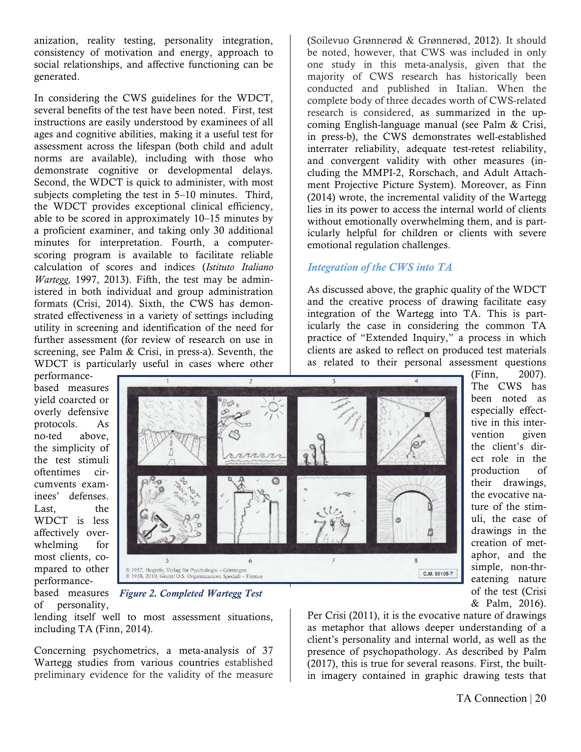anization, reality testing, personality integration, consistency of motivation and energy, approach to social relationships, and affective functioning can be generated.

In considering the CWS guidelines for the WDCT, several benefits of the test have been noted. First, test instructions are easily understood by examinees of all ages and cognitive abilities, making it a useful test for assessment across the lifespan (both child and adult norms are available), including with those who demonstrate cognitive or developmental delays. Second, the WDCT is quick to administer, with most subjects completing the test in 5–10 minutes. Third, the WDCT provides exceptional clinical efficiency, able to be scored in approximately 10–15 minutes by a proficient examiner, and taking only 30 additional minutes for interpretation. Fourth, a computerscoring program is available to facilitate reliable calculation of scores and indices (*Istituto Italiano Wartegg,* 1997, 2013). Fifth, the test may be administered in both individual and group administration formats (Crisi, 2014). Sixth, the CWS has demonstrated effectiveness in a variety of settings including utility in screening and identification of the need for further assessment (for review of research on use in screening, see Palm & Crisi, in press-a). Seventh, the WDCT is particularly useful in cases where other

(Soilevuo Grønnerød & Grønnerød, 2012). It should be noted, however, that CWS was included in only one study in this meta-analysis, given that the majority of CWS research has historically been conducted and published in Italian. When the complete body of three decades worth of CWS-related research is considered, as summarized in the upcoming English-language manual (see Palm & Crisi, in press-b), the CWS demonstrates well-established interrater reliability, adequate test-retest reliability, and convergent validity with other measures (including the MMPI-2, Rorschach, and Adult Attachment Projective Picture System). Moreover, as Finn (2014) wrote, the incremental validity of the Wartegg lies in its power to access the internal world of clients without emotionally overwhelming them, and is particularly helpful for children or clients with severe emotional regulation challenges.

### *Integration of the CWS into TA*

As discussed above, the graphic quality of the WDCT and the creative process of drawing facilitate easy integration of the Wartegg into TA. This is particularly the case in considering the common TA practice of "Extended Inquiry," a process in which clients are asked to reflect on produced test materials as related to their personal assessment questions

performancebased measures yield coarcted or overly defensive protocols. As no-ted above, the simplicity of the test stimuli oftentimes circumvents examinees' defenses. Last. the WDCT is less affectively overwhelming for most clients, compared to other performanceof personality,



(Finn, 2007). The CWS has been noted as especially effecttive in this intervention given the client's direct role in the production of their drawings, the evocative nature of the stimuli, the ease of drawings in the creation of metaphor, and the simple, non-threatening nature of the test (Crisi & Palm, 2016).

based measures *Figure 2. Completed Wartegg Test*

lending itself well to most assessment situations, including TA (Finn, 2014).

Concerning psychometrics, a meta-analysis of 37 Wartegg studies from various countries established preliminary evidence for the validity of the measure

Per Crisi (2011), it is the evocative nature of drawings as metaphor that allows deeper understanding of a client's personality and internal world, as well as the presence of psychopathology. As described by Palm (2017), this is true for several reasons. First, the builtin imagery contained in graphic drawing tests that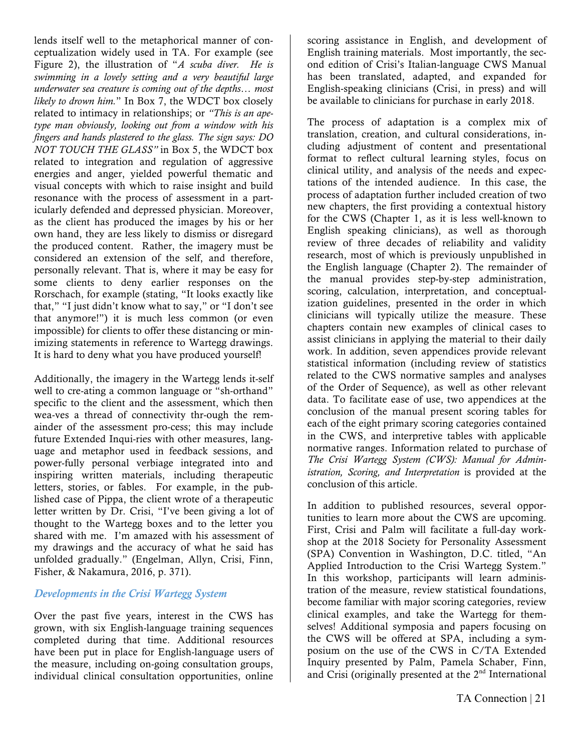lends itself well to the metaphorical manner of conceptualization widely used in TA. For example (see Figure 2), the illustration of "*A scuba diver. He is swimming in a lovely setting and a very beautiful large underwater sea creature is coming out of the depths… most likely to drown him.*" In Box 7, the WDCT box closely related to intimacy in relationships; or *"This is an apetype man obviously, looking out from a window with his fingers and hands plastered to the glass. The sign says: DO NOT TOUCH THE GLASS"* in Box 5, the WDCT box related to integration and regulation of aggressive energies and anger, yielded powerful thematic and visual concepts with which to raise insight and build resonance with the process of assessment in a particularly defended and depressed physician. Moreover, as the client has produced the images by his or her own hand, they are less likely to dismiss or disregard the produced content. Rather, the imagery must be considered an extension of the self, and therefore, personally relevant. That is, where it may be easy for some clients to deny earlier responses on the Rorschach, for example (stating, "It looks exactly like that," "I just didn't know what to say," or "I don't see that anymore!") it is much less common (or even impossible) for clients to offer these distancing or minimizing statements in reference to Wartegg drawings. It is hard to deny what you have produced yourself!

Additionally, the imagery in the Wartegg lends it-self well to cre-ating a common language or "sh-orthand" specific to the client and the assessment, which then wea-ves a thread of connectivity thr-ough the remainder of the assessment pro-cess; this may include future Extended Inqui-ries with other measures, language and metaphor used in feedback sessions, and power-fully personal verbiage integrated into and inspiring written materials, including therapeutic letters, stories, or fables. For example, in the published case of Pippa, the client wrote of a therapeutic letter written by Dr. Crisi, "I've been giving a lot of thought to the Wartegg boxes and to the letter you shared with me. I'm amazed with his assessment of my drawings and the accuracy of what he said has unfolded gradually." (Engelman, Allyn, Crisi, Finn, Fisher, & Nakamura, 2016, p. 371).

### *Developments in the Crisi Wartegg System*

Over the past five years, interest in the CWS has grown, with six English-language training sequences completed during that time. Additional resources have been put in place for English-language users of the measure, including on-going consultation groups, individual clinical consultation opportunities, online

scoring assistance in English, and development of English training materials. Most importantly, the second edition of Crisi's Italian-language CWS Manual has been translated, adapted, and expanded for English-speaking clinicians (Crisi, in press) and will be available to clinicians for purchase in early 2018.

The process of adaptation is a complex mix of translation, creation, and cultural considerations, including adjustment of content and presentational format to reflect cultural learning styles, focus on clinical utility, and analysis of the needs and expectations of the intended audience. In this case, the process of adaptation further included creation of two new chapters, the first providing a contextual history for the CWS (Chapter 1, as it is less well-known to English speaking clinicians), as well as thorough review of three decades of reliability and validity research, most of which is previously unpublished in the English language (Chapter 2). The remainder of the manual provides step-by-step administration, scoring, calculation, interpretation, and conceptualization guidelines, presented in the order in which clinicians will typically utilize the measure. These chapters contain new examples of clinical cases to assist clinicians in applying the material to their daily work. In addition, seven appendices provide relevant statistical information (including review of statistics related to the CWS normative samples and analyses of the Order of Sequence), as well as other relevant data. To facilitate ease of use, two appendices at the conclusion of the manual present scoring tables for each of the eight primary scoring categories contained in the CWS, and interpretive tables with applicable normative ranges. Information related to purchase of *The Crisi Wartegg System (CWS): Manual for Administration, Scoring, and Interpretation* is provided at the conclusion of this article.

In addition to published resources, several opportunities to learn more about the CWS are upcoming. First, Crisi and Palm will facilitate a full-day workshop at the 2018 Society for Personality Assessment (SPA) Convention in Washington, D.C. titled, "An Applied Introduction to the Crisi Wartegg System." In this workshop, participants will learn administration of the measure, review statistical foundations, become familiar with major scoring categories, review clinical examples, and take the Wartegg for themselves! Additional symposia and papers focusing on the CWS will be offered at SPA, including a symposium on the use of the CWS in C/TA Extended Inquiry presented by Palm, Pamela Schaber, Finn, and Crisi (originally presented at the  $2<sup>nd</sup>$  International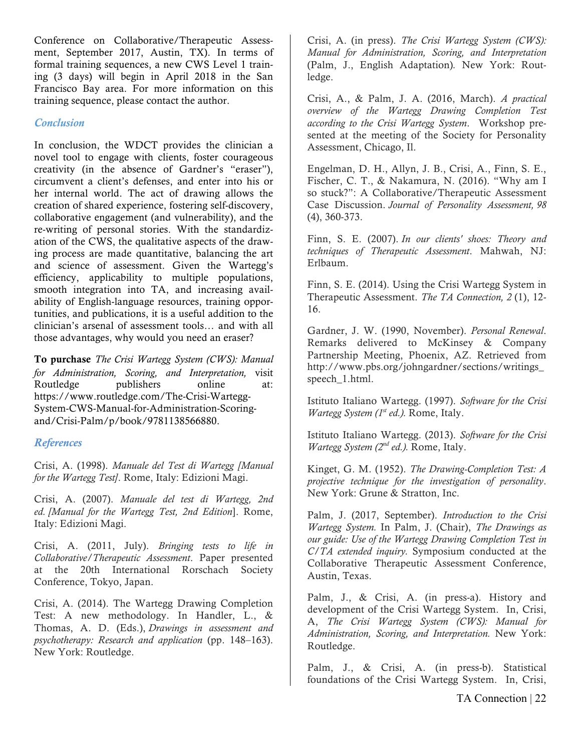Conference on Collaborative/Therapeutic Assessment, September 2017, Austin, TX). In terms of formal training sequences, a new CWS Level 1 training (3 days) will begin in April 2018 in the San Francisco Bay area. For more information on this training sequence, please contact the author.

### *Conclusion*

In conclusion, the WDCT provides the clinician a novel tool to engage with clients, foster courageous creativity (in the absence of Gardner's "eraser"), circumvent a client's defenses, and enter into his or her internal world. The act of drawing allows the creation of shared experience, fostering self-discovery, collaborative engagement (and vulnerability), and the re-writing of personal stories. With the standardization of the CWS, the qualitative aspects of the drawing process are made quantitative, balancing the art and science of assessment. Given the Wartegg's efficiency, applicability to multiple populations, smooth integration into TA, and increasing availability of English-language resources, training opportunities, and publications, it is a useful addition to the clinician's arsenal of assessment tools… and with all those advantages, why would you need an eraser?

To purchase *The Crisi Wartegg System (CWS): Manual for Administration, Scoring, and Interpretation,* visit Routledge publishers online at: https://www.routledge.com/The-Crisi-Wartegg-System-CWS-Manual-for-Administration-Scoringand/Crisi-Palm/p/book/9781138566880.

### *References*

Crisi, A. (1998). *Manuale del Test di Wartegg [Manual for the Wartegg Test]*. Rome, Italy: Edizioni Magi.

Crisi, A. (2007). *Manuale del test di Wartegg, 2nd ed. [Manual for the Wartegg Test, 2nd Edition*]. Rome, Italy: Edizioni Magi.

Crisi, A. (2011, July). *Bringing tests to life in Collaborative/Therapeutic Assessment*. Paper presented at the 20th International Rorschach Society Conference, Tokyo, Japan.

Crisi, A. (2014). The Wartegg Drawing Completion Test: A new methodology. In Handler, L., & Thomas, A. D. (Eds.), *Drawings in assessment and psychotherapy: Research and application* (pp. 148–163). New York: Routledge.

Crisi, A. (in press). *The Crisi Wartegg System (CWS): Manual for Administration, Scoring, and Interpretation*  (Palm, J., English Adaptation)*.* New York: Routledge.

Crisi, A., & Palm, J. A. (2016, March). *A practical overview of the Wartegg Drawing Completion Test according to the Crisi Wartegg System*. Workshop presented at the meeting of the Society for Personality Assessment, Chicago, Il.

Engelman, D. H., Allyn, J. B., Crisi, A., Finn, S. E., Fischer, C. T., & Nakamura, N. (2016). "Why am I so stuck?": A Collaborative/Therapeutic Assessment Case Discussion. *Journal of Personality Assessment, 98* (4), 360-373.

Finn, S. E. (2007). *In our clients' shoes: Theory and techniques of Therapeutic Assessment*. Mahwah, NJ: Erlbaum.

Finn, S. E. (2014). Using the Crisi Wartegg System in Therapeutic Assessment. *The TA Connection, 2* (1), 12- 16.

Gardner, J. W. (1990, November). *Personal Renewal*. Remarks delivered to McKinsey & Company Partnership Meeting, Phoenix, AZ. Retrieved from http://www.pbs.org/johngardner/sections/writings\_ speech\_1.html.

Istituto Italiano Wartegg. (1997). *Software for the Crisi Wartegg System (1st ed.).* Rome, Italy.

Istituto Italiano Wartegg. (2013). *Software for the Crisi Wartegg System (2nd ed.).* Rome, Italy.

Kinget, G. M. (1952). *The Drawing-Completion Test: A projective technique for the investigation of personality*. New York: Grune & Stratton, Inc.

Palm, J. (2017, September). *Introduction to the Crisi Wartegg System.* In Palm, J. (Chair), *The Drawings as our guide: Use of the Wartegg Drawing Completion Test in C/TA extended inquiry.* Symposium conducted at the Collaborative Therapeutic Assessment Conference, Austin, Texas.

Palm, J., & Crisi, A. (in press-a). History and development of the Crisi Wartegg System. In, Crisi, A, *The Crisi Wartegg System (CWS): Manual for Administration, Scoring, and Interpretation.* New York: Routledge.

Palm, J., & Crisi, A. (in press-b). Statistical foundations of the Crisi Wartegg System. In, Crisi,

TA Connection | 22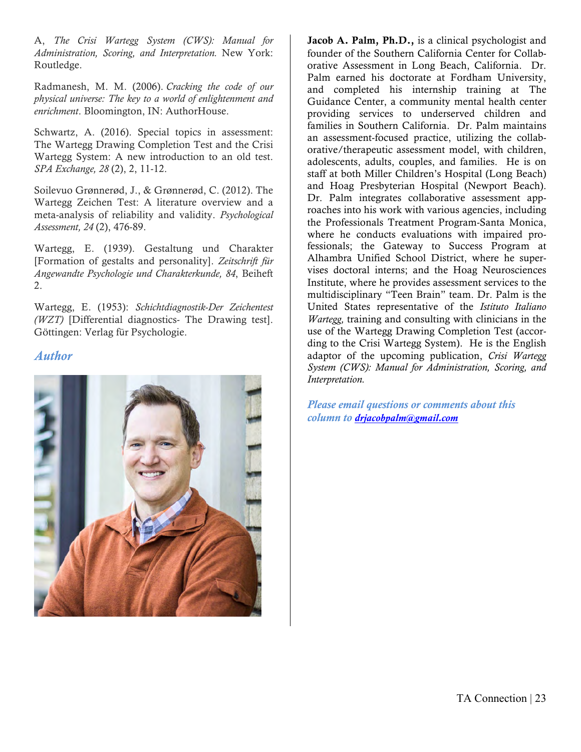A, *The Crisi Wartegg System (CWS): Manual for Administration, Scoring, and Interpretation.* New York: Routledge.

Radmanesh, M. M. (2006). *Cracking the code of our physical universe: The key to a world of enlightenment and enrichment*. Bloomington, IN: AuthorHouse.

Schwartz, A. (2016). Special topics in assessment: The Wartegg Drawing Completion Test and the Crisi Wartegg System: A new introduction to an old test. *SPA Exchange, 28* (2), 2, 11-12.

Soilevuo Grønnerød, J., & Grønnerød, C. (2012). The Wartegg Zeichen Test: A literature overview and a meta-analysis of reliability and validity. *Psychological Assessment, 24* (2), 476-89.

Wartegg, E. (1939). Gestaltung und Charakter [Formation of gestalts and personality]. *Zeitschrift für Angewandte Psychologie und Charakterkunde, 84*, Beiheft 2.

Wartegg, E. (1953): *Schichtdiagnostik-Der Zeichentest (WZT)* [Differential diagnostics- The Drawing test]. Göttingen: Verlag für Psychologie.

### *Author*



Jacob A. Palm, Ph.D., is a clinical psychologist and founder of the Southern California Center for Collaborative Assessment in Long Beach, California. Dr. Palm earned his doctorate at Fordham University, and completed his internship training at The Guidance Center, a community mental health center providing services to underserved children and families in Southern California. Dr. Palm maintains an assessment-focused practice, utilizing the collaborative/therapeutic assessment model, with children, adolescents, adults, couples, and families. He is on staff at both Miller Children's Hospital (Long Beach) and Hoag Presbyterian Hospital (Newport Beach). Dr. Palm integrates collaborative assessment approaches into his work with various agencies, including the Professionals Treatment Program-Santa Monica, where he conducts evaluations with impaired professionals; the Gateway to Success Program at Alhambra Unified School District, where he supervises doctoral interns; and the Hoag Neurosciences Institute, where he provides assessment services to the multidisciplinary "Teen Brain" team. Dr. Palm is the United States representative of the *Istituto Italiano Wartegg,* training and consulting with clinicians in the use of the Wartegg Drawing Completion Test (according to the Crisi Wartegg System). He is the English adaptor of the upcoming publication, *Crisi Wartegg System (CWS): Manual for Administration, Scoring, and Interpretation.*

*Please email questions or comments about this column to drjacobpalm@gmail.com*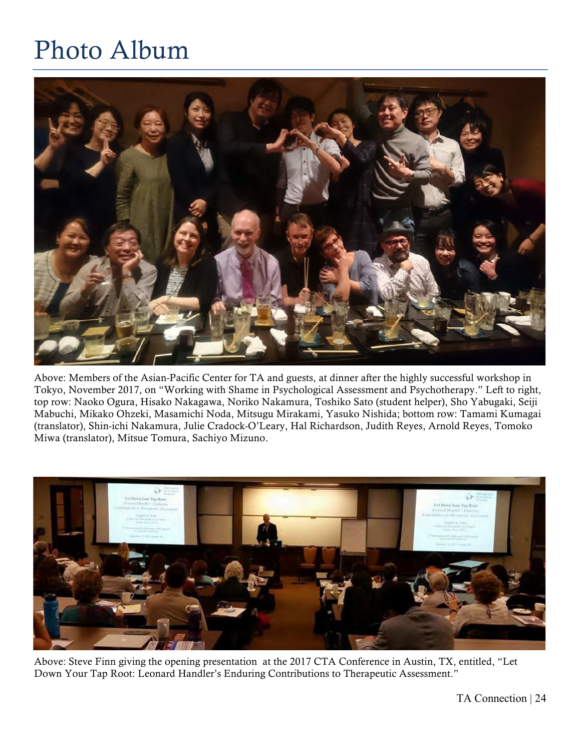### Photo Album



Above: Members of the Asian-Pacific Center for TA and guests, at dinner after the highly successful workshop in Tokyo, November 2017, on "Working with Shame in Psychological Assessment and Psychotherapy." Left to right, top row: Naoko Ogura, Hisako Nakagawa, Noriko Nakamura, Toshiko Sato (student helper), Sho Yabugaki, Seiji Mabuchi, Mikako Ohzeki, Masamichi Noda, Mitsugu Mirakami, Yasuko Nishida; bottom row: Tamami Kumagai (translator), Shin-ichi Nakamura, Julie Cradock-O'Leary, Hal Richardson, Judith Reyes, Arnold Reyes, Tomoko Miwa (translator), Mitsue Tomura, Sachiyo Mizuno.



Above: Steve Finn giving the opening presentation at the 2017 CTA Conference in Austin, TX, entitled, "Let Down Your Tap Root: Leonard Handler's Enduring Contributions to Therapeutic Assessment."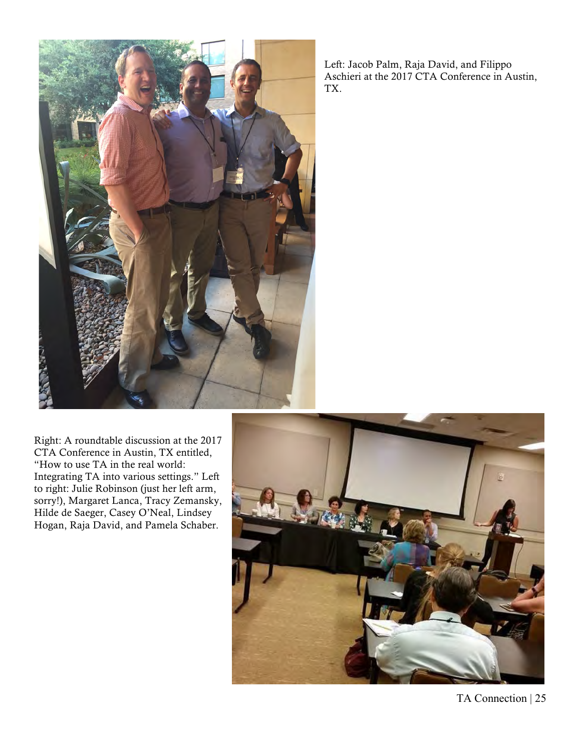

Left: Jacob Palm, Raja David, and Filippo Aschieri at the 2017 CTA Conference in Austin, TX.

Right: A roundtable discussion at the 2017 CTA Conference in Austin, TX entitled, "How to use TA in the real world: Integrating TA into various settings." Left to right: Julie Robinson (just her left arm, sorry!), Margaret Lanca, Tracy Zemansky, Hilde de Saeger, Casey O'Neal, Lindsey Hogan, Raja David, and Pamela Schaber.



TA Connection | 25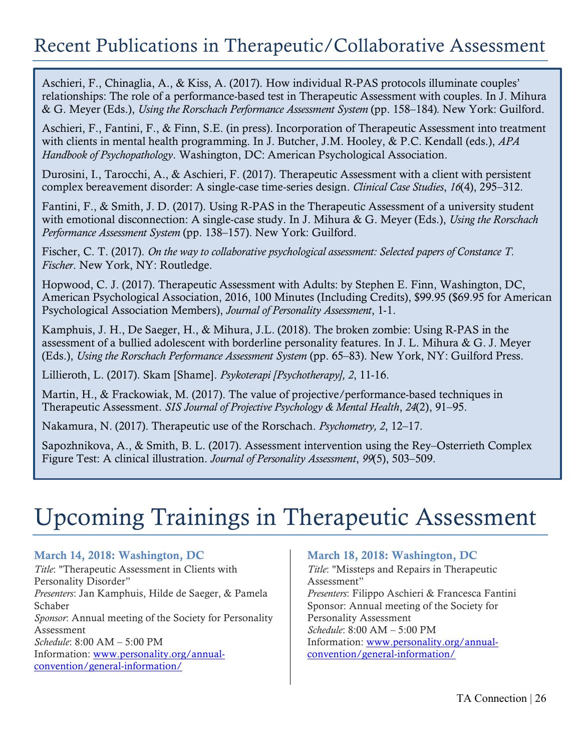### Recent Publications in Therapeutic/Collaborative Assessment

Aschieri, F., Chinaglia, A., & Kiss, A. (2017). How individual R-PAS protocols illuminate couples' relationships: The role of a performance-based test in Therapeutic Assessment with couples. In J. Mihura & G. Meyer (Eds.), *Using the Rorschach Performance Assessment System* (pp. 158–184)*.* New York: Guilford.

Aschieri, F., Fantini, F., & Finn, S.E. (in press). Incorporation of Therapeutic Assessment into treatment with clients in mental health programming. In J. Butcher, J.M. Hooley, & P.C. Kendall (eds.), *APA Handbook of Psychopathology*. Washington, DC: American Psychological Association.

Durosini, I., Tarocchi, A., & Aschieri, F. (2017). Therapeutic Assessment with a client with persistent complex bereavement disorder: A single-case time-series design. *Clinical Case Studies*, *16*(4), 295–312.

Fantini, F., & Smith, J. D. (2017). Using R-PAS in the Therapeutic Assessment of a university student with emotional disconnection: A single-case study. In J. Mihura & G. Meyer (Eds.), *Using the Rorschach Performance Assessment System* (pp. 138–157). New York: Guilford.

Fischer, C. T. (2017). *On the way to collaborative psychological assessment: Selected papers of Constance T. Fischer*. New York, NY: Routledge.

Hopwood, C. J. (2017). Therapeutic Assessment with Adults: by Stephen E. Finn, Washington, DC, American Psychological Association, 2016, 100 Minutes (Including Credits), \$99.95 (\$69.95 for American Psychological Association Members), *Journal of Personality Assessment*, 1-1.

Kamphuis, J. H., De Saeger, H., & Mihura, J.L. (2018). The broken zombie: Using R-PAS in the assessment of a bullied adolescent with borderline personality features. In J. L. Mihura & G. J. Meyer (Eds.), *Using the Rorschach Performance Assessment System* (pp. 65–83). New York, NY: Guilford Press.

Lillieroth, L. (2017). Skam [Shame]. *Psykoterapi [Psychotherapy], 2*, 11-16.

Martin, H., & Frackowiak, M. (2017). The value of projective/performance-based techniques in Therapeutic Assessment. *SIS Journal of Projective Psychology & Mental Health*, *24*(2), 91–95.

Nakamura, N. (2017). Therapeutic use of the Rorschach. *Psychometry, 2*, 12–17.

Sapozhnikova, A., & Smith, B. L. (2017). Assessment intervention using the Rey–Osterrieth Complex Figure Test: A clinical illustration. *Journal of Personality Assessment*, *99*(5), 503–509.

### Upcoming Trainings in Therapeutic Assessment

### March 14, 2018: Washington, DC

*Title*: "Therapeutic Assessment in Clients with Personality Disorder" *Presenters*: Jan Kamphuis, Hilde de Saeger, & Pamela Schaber *Sponsor*: Annual meeting of the Society for Personality Assessment *Schedule*: 8:00 AM – 5:00 PM Information: www.personality.org/annualconvention/general-information/

### March 18, 2018: Washington, DC

*Title*: "Missteps and Repairs in Therapeutic Assessment" *Presenters*: Filippo Aschieri & Francesca Fantini Sponsor: Annual meeting of the Society for Personality Assessment *Schedule*: 8:00 AM – 5:00 PM Information: www.personality.org/annualconvention/general-information/